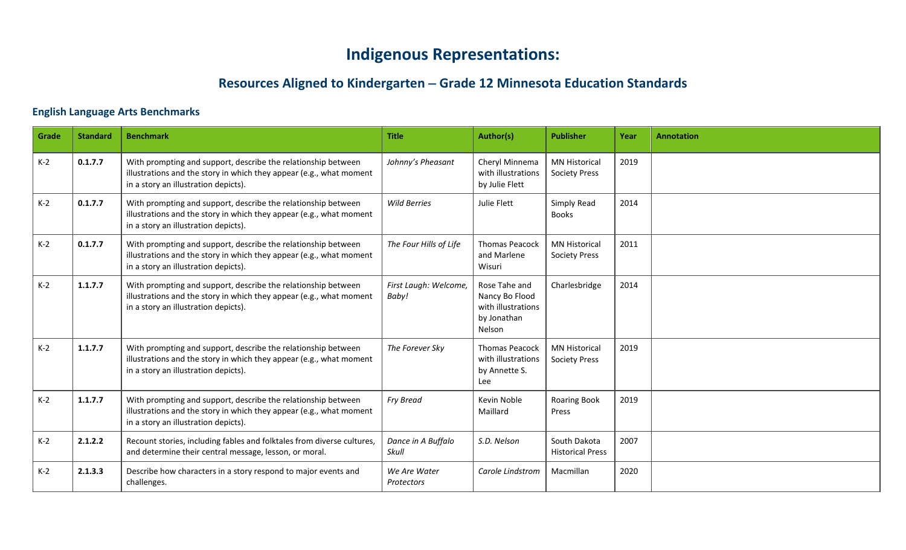## **Indigenous Representations:**

## **Resources Aligned to Kindergarten** − **Grade 12 Minnesota Education Standards**

## **English Language Arts Benchmarks**

| Grade | <b>Standard</b> | <b>Benchmark</b>                                                                                                                                                             | <b>Title</b>                   | Author(s)                                                                      | <b>Publisher</b>                             | Year | <b>Annotation</b> |
|-------|-----------------|------------------------------------------------------------------------------------------------------------------------------------------------------------------------------|--------------------------------|--------------------------------------------------------------------------------|----------------------------------------------|------|-------------------|
| $K-2$ | 0.1.7.7         | With prompting and support, describe the relationship between<br>illustrations and the story in which they appear (e.g., what moment<br>in a story an illustration depicts). | Johnny's Pheasant              | Cheryl Minnema<br>with illustrations<br>by Julie Flett                         | <b>MN Historical</b><br><b>Society Press</b> | 2019 |                   |
| $K-2$ | 0.1.7.7         | With prompting and support, describe the relationship between<br>illustrations and the story in which they appear (e.g., what moment<br>in a story an illustration depicts). | <b>Wild Berries</b>            | Julie Flett                                                                    | Simply Read<br><b>Books</b>                  | 2014 |                   |
| $K-2$ | 0.1.7.7         | With prompting and support, describe the relationship between<br>illustrations and the story in which they appear (e.g., what moment<br>in a story an illustration depicts). | The Four Hills of Life         | <b>Thomas Peacock</b><br>and Marlene<br>Wisuri                                 | <b>MN Historical</b><br><b>Society Press</b> | 2011 |                   |
| $K-2$ | 1.1.7.7         | With prompting and support, describe the relationship between<br>illustrations and the story in which they appear (e.g., what moment<br>in a story an illustration depicts). | First Laugh: Welcome,<br>Baby! | Rose Tahe and<br>Nancy Bo Flood<br>with illustrations<br>by Jonathan<br>Nelson | Charlesbridge                                | 2014 |                   |
| $K-2$ | 1.1.7.7         | With prompting and support, describe the relationship between<br>illustrations and the story in which they appear (e.g., what moment<br>in a story an illustration depicts). | The Forever Sky                | <b>Thomas Peacock</b><br>with illustrations<br>by Annette S.<br>Lee            | <b>MN Historical</b><br><b>Society Press</b> | 2019 |                   |
| $K-2$ | 1.1.7.7         | With prompting and support, describe the relationship between<br>illustrations and the story in which they appear (e.g., what moment<br>in a story an illustration depicts). | <b>Fry Bread</b>               | Kevin Noble<br>Maillard                                                        | Roaring Book<br>Press                        | 2019 |                   |
| $K-2$ | 2.1.2.2         | Recount stories, including fables and folktales from diverse cultures,<br>and determine their central message, lesson, or moral.                                             | Dance in A Buffalo<br>Skull    | S.D. Nelson                                                                    | South Dakota<br><b>Historical Press</b>      | 2007 |                   |
| $K-2$ | 2.1.3.3         | Describe how characters in a story respond to major events and<br>challenges.                                                                                                | We Are Water<br>Protectors     | Carole Lindstrom                                                               | Macmillan                                    | 2020 |                   |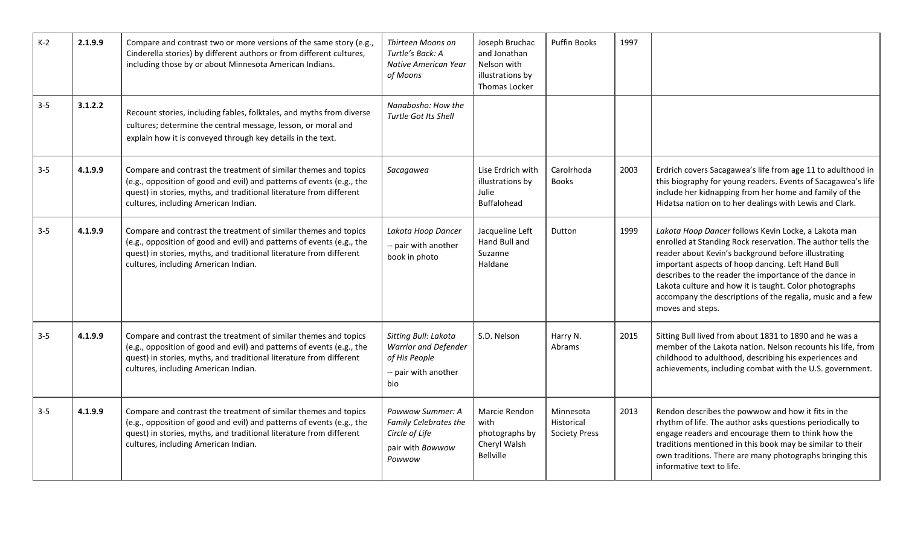| $K-2$   | 2.1.9.9 | Compare and contrast two or more versions of the same story (e.g.,<br>Cinderella stories) by different authors or from different cultures,<br>including those by or about Minnesota American Indians.                                                   | Thirteen Moons on<br>Turtle's Back: A<br>Native American Year<br>of Moons                           | Joseph Bruchac<br>and Jonathan<br>Nelson with<br>illustrations by<br>Thomas Locker | <b>Puffin Books</b>                             | 1997 |                                                                                                                                                                                                                                                                                                                                                                                                                                       |
|---------|---------|---------------------------------------------------------------------------------------------------------------------------------------------------------------------------------------------------------------------------------------------------------|-----------------------------------------------------------------------------------------------------|------------------------------------------------------------------------------------|-------------------------------------------------|------|---------------------------------------------------------------------------------------------------------------------------------------------------------------------------------------------------------------------------------------------------------------------------------------------------------------------------------------------------------------------------------------------------------------------------------------|
| $3 - 5$ | 3.1.2.2 | Recount stories, including fables, folktales, and myths from diverse<br>cultures; determine the central message, lesson, or moral and<br>explain how it is conveyed through key details in the text.                                                    | Nanabosho: How the<br>Turtle Got Its Shell                                                          |                                                                                    |                                                 |      |                                                                                                                                                                                                                                                                                                                                                                                                                                       |
| $3 - 5$ | 4.1.9.9 | Compare and contrast the treatment of similar themes and topics<br>(e.g., opposition of good and evil) and patterns of events (e.g., the<br>quest) in stories, myths, and traditional literature from different<br>cultures, including American Indian. | Sacagawea                                                                                           | Lise Erdrich with<br>illustrations by<br>Julie<br>Buffalohead                      | Carolrhoda<br>Books                             | 2003 | Erdrich covers Sacagawea's life from age 11 to adulthood in<br>this biography for young readers. Events of Sacagawea's life<br>include her kidnapping from her home and family of the<br>Hidatsa nation on to her dealings with Lewis and Clark.                                                                                                                                                                                      |
| $3 - 5$ | 4.1.9.9 | Compare and contrast the treatment of similar themes and topics<br>(e.g., opposition of good and evil) and patterns of events (e.g., the<br>quest) in stories, myths, and traditional literature from different<br>cultures, including American Indian. | Lakota Hoop Dancer<br>-- pair with another<br>book in photo                                         | Jacqueline Left<br>Hand Bull and<br>Suzanne<br>Haldane                             | Dutton                                          | 1999 | Lakota Hoop Dancer follows Kevin Locke, a Lakota man<br>enrolled at Standing Rock reservation. The author tells the<br>reader about Kevin's background before illustrating<br>important aspects of hoop dancing. Left Hand Bull<br>describes to the reader the importance of the dance in<br>Lakota culture and how it is taught. Color photographs<br>accompany the descriptions of the regalia, music and a few<br>moves and steps. |
| $3 - 5$ | 4.1.9.9 | Compare and contrast the treatment of similar themes and topics<br>(e.g., opposition of good and evil) and patterns of events (e.g., the<br>quest) in stories, myths, and traditional literature from different<br>cultures, including American Indian. | Sitting Bull: Lakota<br><b>Warrior and Defender</b><br>of His People<br>-- pair with another<br>bio | S.D. Nelson                                                                        | Harry N.<br>Abrams                              | 2015 | Sitting Bull lived from about 1831 to 1890 and he was a<br>member of the Lakota nation. Nelson recounts his life, from<br>childhood to adulthood, describing his experiences and<br>achievements, including combat with the U.S. government.                                                                                                                                                                                          |
| $3 - 5$ | 4.1.9.9 | Compare and contrast the treatment of similar themes and topics<br>(e.g., opposition of good and evil) and patterns of events (e.g., the<br>quest) in stories, myths, and traditional literature from different<br>cultures, including American Indian. | Powwow Summer: A<br>Family Celebrates the<br>Circle of Life<br>pair with Bowwow<br>Powwow           | Marcie Rendon<br>with<br>photographs by<br>Cheryl Walsh<br>Bellville               | Minnesota<br>Historical<br><b>Society Press</b> | 2013 | Rendon describes the powwow and how it fits in the<br>rhythm of life. The author asks questions periodically to<br>engage readers and encourage them to think how the<br>traditions mentioned in this book may be similar to their<br>own traditions. There are many photographs bringing this<br>informative text to life.                                                                                                           |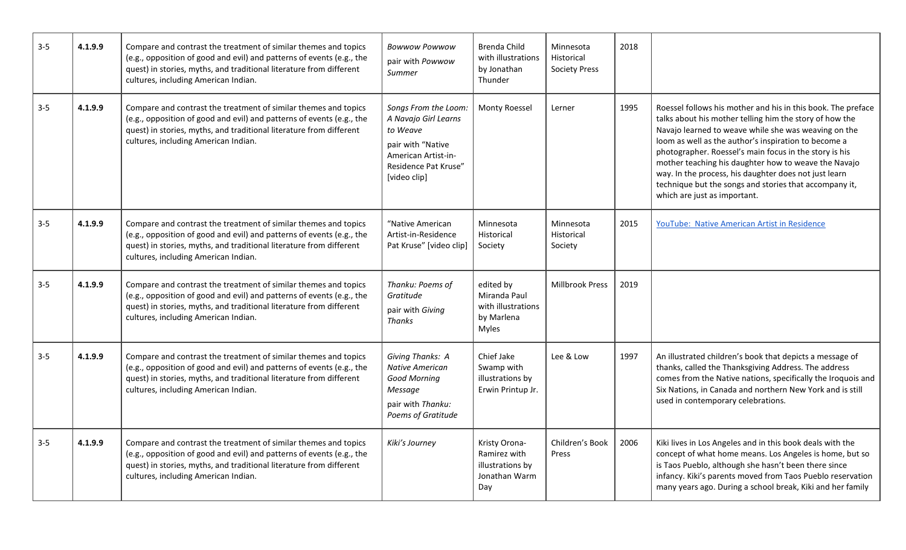| $3 - 5$ | 4.1.9.9 | Compare and contrast the treatment of similar themes and topics<br>(e.g., opposition of good and evil) and patterns of events (e.g., the<br>quest) in stories, myths, and traditional literature from different<br>cultures, including American Indian. | <b>Bowwow Powwow</b><br>pair with Powwow<br>Summer                                                                                           | Brenda Child<br>with illustrations<br>by Jonathan<br>Thunder                  | Minnesota<br>Historical<br><b>Society Press</b> | 2018 |                                                                                                                                                                                                                                                                                                                                                                                                                                                                                                              |
|---------|---------|---------------------------------------------------------------------------------------------------------------------------------------------------------------------------------------------------------------------------------------------------------|----------------------------------------------------------------------------------------------------------------------------------------------|-------------------------------------------------------------------------------|-------------------------------------------------|------|--------------------------------------------------------------------------------------------------------------------------------------------------------------------------------------------------------------------------------------------------------------------------------------------------------------------------------------------------------------------------------------------------------------------------------------------------------------------------------------------------------------|
| $3 - 5$ | 4.1.9.9 | Compare and contrast the treatment of similar themes and topics<br>(e.g., opposition of good and evil) and patterns of events (e.g., the<br>quest) in stories, myths, and traditional literature from different<br>cultures, including American Indian. | Songs From the Loom:<br>A Navajo Girl Learns<br>to Weave<br>pair with "Native<br>American Artist-in-<br>Residence Pat Kruse"<br>[video clip] | <b>Monty Roessel</b>                                                          | Lerner                                          | 1995 | Roessel follows his mother and his in this book. The preface<br>talks about his mother telling him the story of how the<br>Navajo learned to weave while she was weaving on the<br>loom as well as the author's inspiration to become a<br>photographer. Roessel's main focus in the story is his<br>mother teaching his daughter how to weave the Navajo<br>way. In the process, his daughter does not just learn<br>technique but the songs and stories that accompany it,<br>which are just as important. |
| $3 - 5$ | 4.1.9.9 | Compare and contrast the treatment of similar themes and topics<br>(e.g., opposition of good and evil) and patterns of events (e.g., the<br>quest) in stories, myths, and traditional literature from different<br>cultures, including American Indian. | "Native American<br>Artist-in-Residence<br>Pat Kruse" [video clip]                                                                           | Minnesota<br>Historical<br>Society                                            | Minnesota<br>Historical<br>Society              | 2015 | YouTube: Native American Artist in Residence                                                                                                                                                                                                                                                                                                                                                                                                                                                                 |
| $3 - 5$ | 4.1.9.9 | Compare and contrast the treatment of similar themes and topics<br>(e.g., opposition of good and evil) and patterns of events (e.g., the<br>quest) in stories, myths, and traditional literature from different<br>cultures, including American Indian. | Thanku: Poems of<br>Gratitude<br>pair with Giving<br>Thanks                                                                                  | edited by<br>Miranda Paul<br>with illustrations<br>by Marlena<br><b>Myles</b> | <b>Millbrook Press</b>                          | 2019 |                                                                                                                                                                                                                                                                                                                                                                                                                                                                                                              |
| $3 - 5$ | 4.1.9.9 | Compare and contrast the treatment of similar themes and topics<br>(e.g., opposition of good and evil) and patterns of events (e.g., the<br>quest) in stories, myths, and traditional literature from different<br>cultures, including American Indian. | Giving Thanks: A<br><b>Native American</b><br>Good Morning<br>Message<br>pair with Thanku:<br>Poems of Gratitude                             | Chief Jake<br>Swamp with<br>illustrations by<br>Erwin Printup Jr.             | Lee & Low                                       | 1997 | An illustrated children's book that depicts a message of<br>thanks, called the Thanksgiving Address. The address<br>comes from the Native nations, specifically the Iroquois and<br>Six Nations, in Canada and northern New York and is still<br>used in contemporary celebrations.                                                                                                                                                                                                                          |
| $3 - 5$ | 4.1.9.9 | Compare and contrast the treatment of similar themes and topics<br>(e.g., opposition of good and evil) and patterns of events (e.g., the<br>quest) in stories, myths, and traditional literature from different<br>cultures, including American Indian. | Kiki's Journey                                                                                                                               | Kristy Orona-<br>Ramirez with<br>illustrations by<br>Jonathan Warm<br>Day     | Children's Book<br>Press                        | 2006 | Kiki lives in Los Angeles and in this book deals with the<br>concept of what home means. Los Angeles is home, but so<br>is Taos Pueblo, although she hasn't been there since<br>infancy. Kiki's parents moved from Taos Pueblo reservation<br>many years ago. During a school break, Kiki and her family                                                                                                                                                                                                     |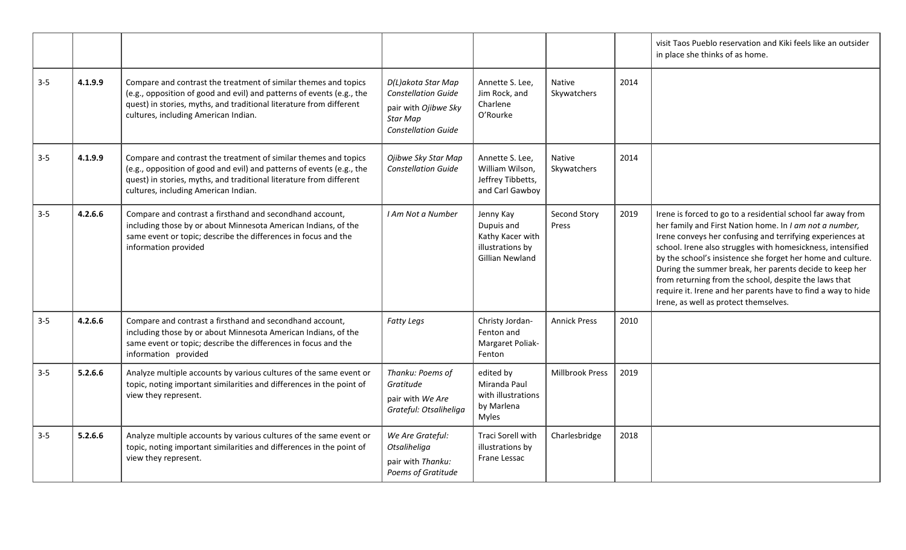|         |         |                                                                                                                                                                                                                                                         |                                                                                                                    |                                                                                           |                              |      | visit Taos Pueblo reservation and Kiki feels like an outsider<br>in place she thinks of as home.                                                                                                                                                                                                                                                                                                                                                                                                                                               |
|---------|---------|---------------------------------------------------------------------------------------------------------------------------------------------------------------------------------------------------------------------------------------------------------|--------------------------------------------------------------------------------------------------------------------|-------------------------------------------------------------------------------------------|------------------------------|------|------------------------------------------------------------------------------------------------------------------------------------------------------------------------------------------------------------------------------------------------------------------------------------------------------------------------------------------------------------------------------------------------------------------------------------------------------------------------------------------------------------------------------------------------|
| $3 - 5$ | 4.1.9.9 | Compare and contrast the treatment of similar themes and topics<br>(e.g., opposition of good and evil) and patterns of events (e.g., the<br>quest) in stories, myths, and traditional literature from different<br>cultures, including American Indian. | D(L)akota Star Map<br><b>Constellation Guide</b><br>pair with Ojibwe Sky<br>Star Map<br><b>Constellation Guide</b> | Annette S. Lee,<br>Jim Rock, and<br>Charlene<br>O'Rourke                                  | Native<br>Skywatchers        | 2014 |                                                                                                                                                                                                                                                                                                                                                                                                                                                                                                                                                |
| $3 - 5$ | 4.1.9.9 | Compare and contrast the treatment of similar themes and topics<br>(e.g., opposition of good and evil) and patterns of events (e.g., the<br>quest) in stories, myths, and traditional literature from different<br>cultures, including American Indian. | Ojibwe Sky Star Map<br><b>Constellation Guide</b>                                                                  | Annette S. Lee,<br>William Wilson,<br>Jeffrey Tibbetts,<br>and Carl Gawboy                | <b>Native</b><br>Skywatchers | 2014 |                                                                                                                                                                                                                                                                                                                                                                                                                                                                                                                                                |
| $3 - 5$ | 4.2.6.6 | Compare and contrast a firsthand and secondhand account,<br>including those by or about Minnesota American Indians, of the<br>same event or topic; describe the differences in focus and the<br>information provided                                    | I Am Not a Number                                                                                                  | Jenny Kay<br>Dupuis and<br>Kathy Kacer with<br>illustrations by<br><b>Gillian Newland</b> | Second Story<br>Press        | 2019 | Irene is forced to go to a residential school far away from<br>her family and First Nation home. In I am not a number,<br>Irene conveys her confusing and terrifying experiences at<br>school. Irene also struggles with homesickness, intensified<br>by the school's insistence she forget her home and culture.<br>During the summer break, her parents decide to keep her<br>from returning from the school, despite the laws that<br>require it. Irene and her parents have to find a way to hide<br>Irene, as well as protect themselves. |
| $3 - 5$ | 4.2.6.6 | Compare and contrast a firsthand and secondhand account,<br>including those by or about Minnesota American Indians, of the<br>same event or topic; describe the differences in focus and the<br>information provided                                    | <b>Fatty Legs</b>                                                                                                  | Christy Jordan-<br>Fenton and<br>Margaret Poliak-<br>Fenton                               | <b>Annick Press</b>          | 2010 |                                                                                                                                                                                                                                                                                                                                                                                                                                                                                                                                                |
| $3 - 5$ | 5.2.6.6 | Analyze multiple accounts by various cultures of the same event or<br>topic, noting important similarities and differences in the point of<br>view they represent.                                                                                      | Thanku: Poems of<br>Gratitude<br>pair with We Are<br>Grateful: Otsaliheliga                                        | edited by<br>Miranda Paul<br>with illustrations<br>by Marlena<br>Myles                    | <b>Millbrook Press</b>       | 2019 |                                                                                                                                                                                                                                                                                                                                                                                                                                                                                                                                                |
| $3 - 5$ | 5.2.6.6 | Analyze multiple accounts by various cultures of the same event or<br>topic, noting important similarities and differences in the point of<br>view they represent.                                                                                      | We Are Grateful:<br>Otsaliheliga<br>pair with Thanku:<br>Poems of Gratitude                                        | <b>Traci Sorell with</b><br>illustrations by<br>Frane Lessac                              | Charlesbridge                | 2018 |                                                                                                                                                                                                                                                                                                                                                                                                                                                                                                                                                |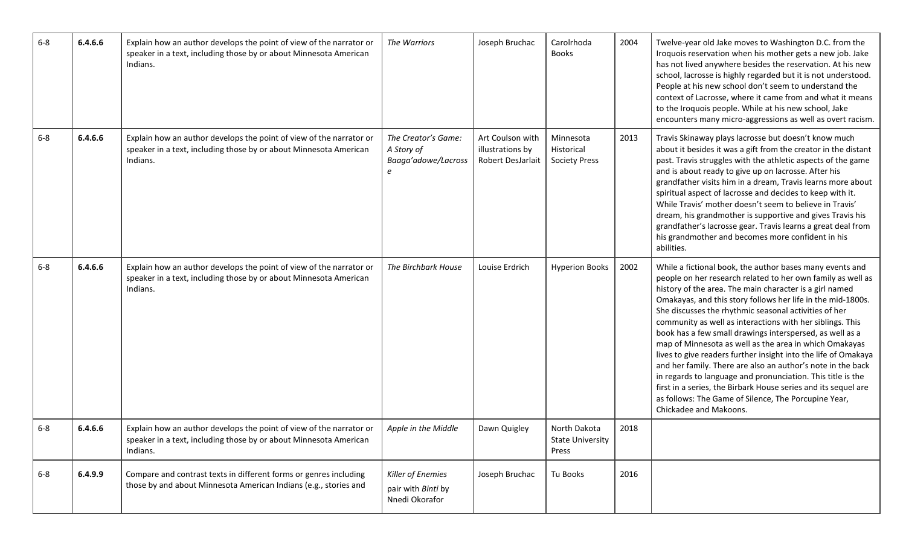| $6-8$ | 6.4.6.6 | Explain how an author develops the point of view of the narrator or<br>speaker in a text, including those by or about Minnesota American<br>Indians. | The Warriors                                                  | Joseph Bruchac                                            | Carolrhoda<br>Books                              | 2004 | Twelve-year old Jake moves to Washington D.C. from the<br>Iroquois reservation when his mother gets a new job. Jake<br>has not lived anywhere besides the reservation. At his new<br>school, lacrosse is highly regarded but it is not understood.<br>People at his new school don't seem to understand the<br>context of Lacrosse, where it came from and what it means<br>to the Iroquois people. While at his new school, Jake<br>encounters many micro-aggressions as well as overt racism.                                                                                                                                                                                                                                                                                                                                                   |
|-------|---------|------------------------------------------------------------------------------------------------------------------------------------------------------|---------------------------------------------------------------|-----------------------------------------------------------|--------------------------------------------------|------|---------------------------------------------------------------------------------------------------------------------------------------------------------------------------------------------------------------------------------------------------------------------------------------------------------------------------------------------------------------------------------------------------------------------------------------------------------------------------------------------------------------------------------------------------------------------------------------------------------------------------------------------------------------------------------------------------------------------------------------------------------------------------------------------------------------------------------------------------|
| $6-8$ | 6.4.6.6 | Explain how an author develops the point of view of the narrator or<br>speaker in a text, including those by or about Minnesota American<br>Indians. | The Creator's Game:<br>A Story of<br>Baaga'adowe/Lacross<br>е | Art Coulson with<br>illustrations by<br>Robert DesJarlait | Minnesota<br>Historical<br><b>Society Press</b>  | 2013 | Travis Skinaway plays lacrosse but doesn't know much<br>about it besides it was a gift from the creator in the distant<br>past. Travis struggles with the athletic aspects of the game<br>and is about ready to give up on lacrosse. After his<br>grandfather visits him in a dream, Travis learns more about<br>spiritual aspect of lacrosse and decides to keep with it.<br>While Travis' mother doesn't seem to believe in Travis'<br>dream, his grandmother is supportive and gives Travis his<br>grandfather's lacrosse gear. Travis learns a great deal from<br>his grandmother and becomes more confident in his<br>abilities.                                                                                                                                                                                                             |
| $6-8$ | 6.4.6.6 | Explain how an author develops the point of view of the narrator or<br>speaker in a text, including those by or about Minnesota American<br>Indians. | The Birchbark House                                           | Louise Erdrich                                            | <b>Hyperion Books</b>                            | 2002 | While a fictional book, the author bases many events and<br>people on her research related to her own family as well as<br>history of the area. The main character is a girl named<br>Omakayas, and this story follows her life in the mid-1800s.<br>She discusses the rhythmic seasonal activities of her<br>community as well as interactions with her siblings. This<br>book has a few small drawings interspersed, as well as a<br>map of Minnesota as well as the area in which Omakayas<br>lives to give readers further insight into the life of Omakaya<br>and her family. There are also an author's note in the back<br>in regards to language and pronunciation. This title is the<br>first in a series, the Birbark House series and its sequel are<br>as follows: The Game of Silence, The Porcupine Year,<br>Chickadee and Makoons. |
| $6-8$ | 6.4.6.6 | Explain how an author develops the point of view of the narrator or<br>speaker in a text, including those by or about Minnesota American<br>Indians. | Apple in the Middle                                           | Dawn Quigley                                              | North Dakota<br><b>State University</b><br>Press | 2018 |                                                                                                                                                                                                                                                                                                                                                                                                                                                                                                                                                                                                                                                                                                                                                                                                                                                   |
| $6-8$ | 6.4.9.9 | Compare and contrast texts in different forms or genres including<br>those by and about Minnesota American Indians (e.g., stories and                | Killer of Enemies<br>pair with Binti by<br>Nnedi Okorafor     | Joseph Bruchac                                            | Tu Books                                         | 2016 |                                                                                                                                                                                                                                                                                                                                                                                                                                                                                                                                                                                                                                                                                                                                                                                                                                                   |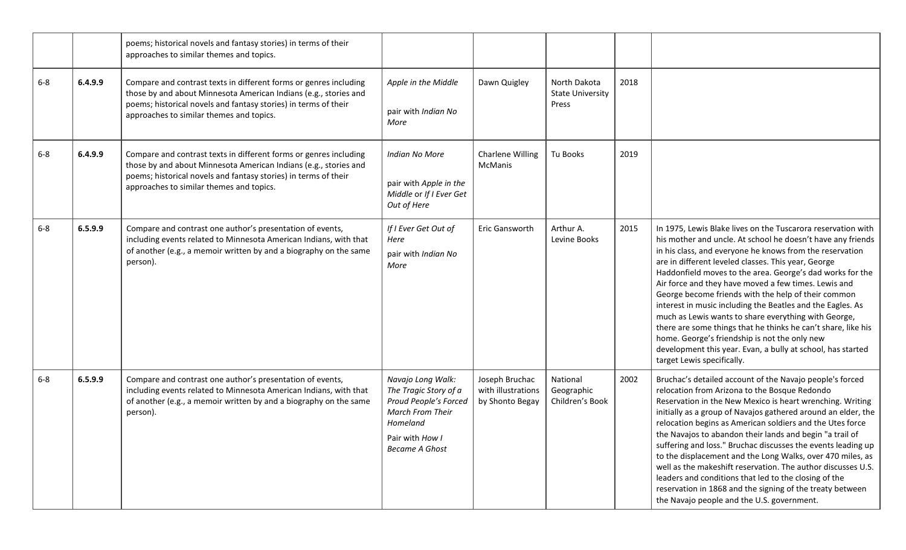|       |         | poems; historical novels and fantasy stories) in terms of their<br>approaches to similar themes and topics.                                                                                                                                          |                                                                                                                                                 |                                                         |                                                  |      |                                                                                                                                                                                                                                                                                                                                                                                                                                                                                                                                                                                                                                                                                                                                                                 |
|-------|---------|------------------------------------------------------------------------------------------------------------------------------------------------------------------------------------------------------------------------------------------------------|-------------------------------------------------------------------------------------------------------------------------------------------------|---------------------------------------------------------|--------------------------------------------------|------|-----------------------------------------------------------------------------------------------------------------------------------------------------------------------------------------------------------------------------------------------------------------------------------------------------------------------------------------------------------------------------------------------------------------------------------------------------------------------------------------------------------------------------------------------------------------------------------------------------------------------------------------------------------------------------------------------------------------------------------------------------------------|
| $6-8$ | 6.4.9.9 | Compare and contrast texts in different forms or genres including<br>those by and about Minnesota American Indians (e.g., stories and<br>poems; historical novels and fantasy stories) in terms of their<br>approaches to similar themes and topics. | Apple in the Middle<br>pair with Indian No<br>More                                                                                              | Dawn Quigley                                            | North Dakota<br><b>State University</b><br>Press | 2018 |                                                                                                                                                                                                                                                                                                                                                                                                                                                                                                                                                                                                                                                                                                                                                                 |
| $6-8$ | 6.4.9.9 | Compare and contrast texts in different forms or genres including<br>those by and about Minnesota American Indians (e.g., stories and<br>poems; historical novels and fantasy stories) in terms of their<br>approaches to similar themes and topics. | Indian No More<br>pair with Apple in the<br>Middle or If I Ever Get<br>Out of Here                                                              | <b>Charlene Willing</b><br>McManis                      | Tu Books                                         | 2019 |                                                                                                                                                                                                                                                                                                                                                                                                                                                                                                                                                                                                                                                                                                                                                                 |
| $6-8$ | 6.5.9.9 | Compare and contrast one author's presentation of events,<br>including events related to Minnesota American Indians, with that<br>of another (e.g., a memoir written by and a biography on the same<br>person).                                      | If I Ever Get Out of<br>Here<br>pair with Indian No<br>More                                                                                     | Eric Gansworth                                          | Arthur A.<br>Levine Books                        | 2015 | In 1975, Lewis Blake lives on the Tuscarora reservation with<br>his mother and uncle. At school he doesn't have any friends<br>in his class, and everyone he knows from the reservation<br>are in different leveled classes. This year, George<br>Haddonfield moves to the area. George's dad works for the<br>Air force and they have moved a few times. Lewis and<br>George become friends with the help of their common<br>interest in music including the Beatles and the Eagles. As<br>much as Lewis wants to share everything with George,<br>there are some things that he thinks he can't share, like his<br>home. George's friendship is not the only new<br>development this year. Evan, a bully at school, has started<br>target Lewis specifically. |
| $6-8$ | 6.5.9.9 | Compare and contrast one author's presentation of events,<br>including events related to Minnesota American Indians, with that<br>of another (e.g., a memoir written by and a biography on the same<br>person).                                      | Navajo Long Walk:<br>The Tragic Story of a<br>Proud People's Forced<br>March From Their<br>Homeland<br>Pair with How I<br><b>Became A Ghost</b> | Joseph Bruchac<br>with illustrations<br>by Shonto Begay | National<br>Geographic<br>Children's Book        | 2002 | Bruchac's detailed account of the Navajo people's forced<br>relocation from Arizona to the Bosque Redondo<br>Reservation in the New Mexico is heart wrenching. Writing<br>initially as a group of Navajos gathered around an elder, the<br>relocation begins as American soldiers and the Utes force<br>the Navajos to abandon their lands and begin "a trail of<br>suffering and loss." Bruchac discusses the events leading up<br>to the displacement and the Long Walks, over 470 miles, as<br>well as the makeshift reservation. The author discusses U.S.<br>leaders and conditions that led to the closing of the<br>reservation in 1868 and the signing of the treaty between<br>the Navajo people and the U.S. government.                              |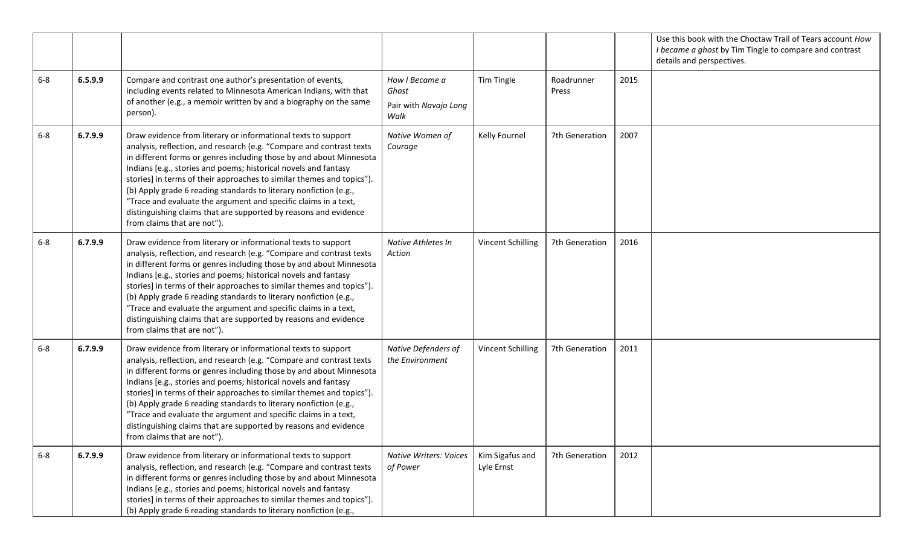|       |         |                                                                                                                                                                                                                                                                                                                                                                                                                                                                                                                                                                                                     |                                                          |                               |                     |      | Use this book with the Choctaw Trail of Tears account How<br>I became a ghost by Tim Tingle to compare and contrast<br>details and perspectives. |
|-------|---------|-----------------------------------------------------------------------------------------------------------------------------------------------------------------------------------------------------------------------------------------------------------------------------------------------------------------------------------------------------------------------------------------------------------------------------------------------------------------------------------------------------------------------------------------------------------------------------------------------------|----------------------------------------------------------|-------------------------------|---------------------|------|--------------------------------------------------------------------------------------------------------------------------------------------------|
| $6-8$ | 6.5.9.9 | Compare and contrast one author's presentation of events,<br>including events related to Minnesota American Indians, with that<br>of another (e.g., a memoir written by and a biography on the same<br>person).                                                                                                                                                                                                                                                                                                                                                                                     | How I Became a<br>Ghost<br>Pair with Navajo Long<br>Walk | Tim Tingle                    | Roadrunner<br>Press | 2015 |                                                                                                                                                  |
| 6-8   | 6.7.9.9 | Draw evidence from literary or informational texts to support<br>analysis, reflection, and research (e.g. "Compare and contrast texts<br>in different forms or genres including those by and about Minnesota<br>Indians [e.g., stories and poems; historical novels and fantasy<br>stories] in terms of their approaches to similar themes and topics").<br>(b) Apply grade 6 reading standards to literary nonfiction (e.g.,<br>"Trace and evaluate the argument and specific claims in a text,<br>distinguishing claims that are supported by reasons and evidence<br>from claims that are not"). | Native Women of<br>Courage                               | Kelly Fournel                 | 7th Generation      | 2007 |                                                                                                                                                  |
| $6-8$ | 6.7.9.9 | Draw evidence from literary or informational texts to support<br>analysis, reflection, and research (e.g. "Compare and contrast texts<br>in different forms or genres including those by and about Minnesota<br>Indians [e.g., stories and poems; historical novels and fantasy<br>stories] in terms of their approaches to similar themes and topics").<br>(b) Apply grade 6 reading standards to literary nonfiction (e.g.,<br>"Trace and evaluate the argument and specific claims in a text,<br>distinguishing claims that are supported by reasons and evidence<br>from claims that are not"). | Native Athletes In<br>Action                             | Vincent Schilling             | 7th Generation      | 2016 |                                                                                                                                                  |
| $6-8$ | 6.7.9.9 | Draw evidence from literary or informational texts to support<br>analysis, reflection, and research (e.g. "Compare and contrast texts<br>in different forms or genres including those by and about Minnesota<br>Indians [e.g., stories and poems; historical novels and fantasy<br>stories] in terms of their approaches to similar themes and topics").<br>(b) Apply grade 6 reading standards to literary nonfiction (e.g.,<br>"Trace and evaluate the argument and specific claims in a text,<br>distinguishing claims that are supported by reasons and evidence<br>from claims that are not"). | Native Defenders of<br>the Environment                   | Vincent Schilling             | 7th Generation      | 2011 |                                                                                                                                                  |
| 6-8   | 6.7.9.9 | Draw evidence from literary or informational texts to support<br>analysis, reflection, and research (e.g. "Compare and contrast texts<br>in different forms or genres including those by and about Minnesota<br>Indians [e.g., stories and poems; historical novels and fantasy<br>stories] in terms of their approaches to similar themes and topics").<br>(b) Apply grade 6 reading standards to literary nonfiction (e.g.,                                                                                                                                                                       | <b>Native Writers: Voices</b><br>of Power                | Kim Sigafus and<br>Lyle Ernst | 7th Generation      | 2012 |                                                                                                                                                  |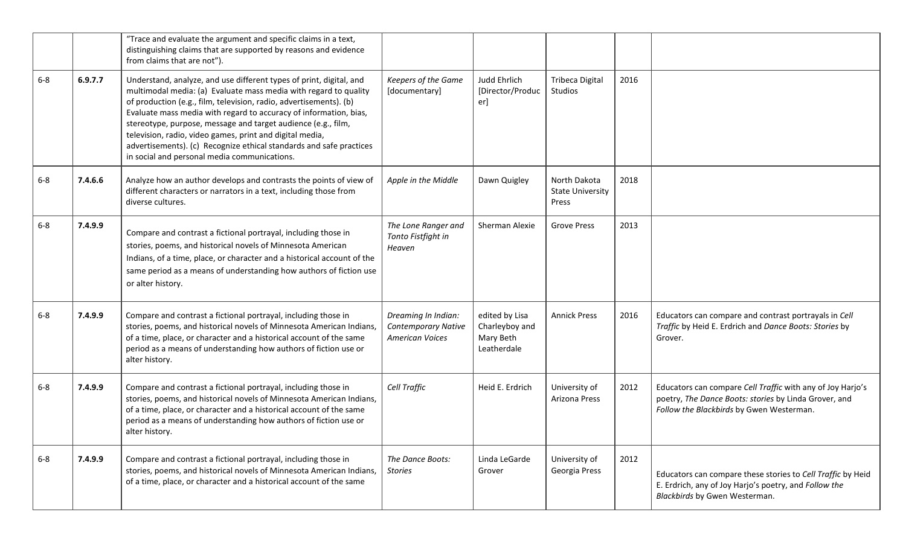|       |         | "Trace and evaluate the argument and specific claims in a text,<br>distinguishing claims that are supported by reasons and evidence<br>from claims that are not").                                                                                                                                                                                                                                                                                                                                                                     |                                                                             |                                                              |                                                  |      |                                                                                                                                                                 |
|-------|---------|----------------------------------------------------------------------------------------------------------------------------------------------------------------------------------------------------------------------------------------------------------------------------------------------------------------------------------------------------------------------------------------------------------------------------------------------------------------------------------------------------------------------------------------|-----------------------------------------------------------------------------|--------------------------------------------------------------|--------------------------------------------------|------|-----------------------------------------------------------------------------------------------------------------------------------------------------------------|
| $6-8$ | 6.9.7.7 | Understand, analyze, and use different types of print, digital, and<br>multimodal media: (a) Evaluate mass media with regard to quality<br>of production (e.g., film, television, radio, advertisements). (b)<br>Evaluate mass media with regard to accuracy of information, bias,<br>stereotype, purpose, message and target audience (e.g., film,<br>television, radio, video games, print and digital media,<br>advertisements). (c) Recognize ethical standards and safe practices<br>in social and personal media communications. | Keepers of the Game<br>[documentary]                                        | Judd Ehrlich<br>[Director/Produc<br>er]                      | Tribeca Digital<br>Studios                       | 2016 |                                                                                                                                                                 |
| $6-8$ | 7.4.6.6 | Analyze how an author develops and contrasts the points of view of<br>different characters or narrators in a text, including those from<br>diverse cultures.                                                                                                                                                                                                                                                                                                                                                                           | Apple in the Middle                                                         | Dawn Quigley                                                 | North Dakota<br><b>State University</b><br>Press | 2018 |                                                                                                                                                                 |
| $6-8$ | 7.4.9.9 | Compare and contrast a fictional portrayal, including those in<br>stories, poems, and historical novels of Minnesota American<br>Indians, of a time, place, or character and a historical account of the<br>same period as a means of understanding how authors of fiction use<br>or alter history.                                                                                                                                                                                                                                    | The Lone Ranger and<br>Tonto Fistfight in<br>Heaven                         | Sherman Alexie                                               | <b>Grove Press</b>                               | 2013 |                                                                                                                                                                 |
| $6-8$ | 7.4.9.9 | Compare and contrast a fictional portrayal, including those in<br>stories, poems, and historical novels of Minnesota American Indians,<br>of a time, place, or character and a historical account of the same<br>period as a means of understanding how authors of fiction use or<br>alter history.                                                                                                                                                                                                                                    | Dreaming In Indian:<br><b>Contemporary Native</b><br><b>American Voices</b> | edited by Lisa<br>Charleyboy and<br>Mary Beth<br>Leatherdale | <b>Annick Press</b>                              | 2016 | Educators can compare and contrast portrayals in Cell<br>Traffic by Heid E. Erdrich and Dance Boots: Stories by<br>Grover.                                      |
| $6-8$ | 7.4.9.9 | Compare and contrast a fictional portrayal, including those in<br>stories, poems, and historical novels of Minnesota American Indians,<br>of a time, place, or character and a historical account of the same<br>period as a means of understanding how authors of fiction use or<br>alter history.                                                                                                                                                                                                                                    | Cell Traffic                                                                | Heid E. Erdrich                                              | University of<br>Arizona Press                   | 2012 | Educators can compare Cell Traffic with any of Joy Harjo's<br>poetry, The Dance Boots: stories by Linda Grover, and<br>Follow the Blackbirds by Gwen Westerman. |
| $6-8$ | 7.4.9.9 | Compare and contrast a fictional portrayal, including those in<br>stories, poems, and historical novels of Minnesota American Indians,<br>of a time, place, or character and a historical account of the same                                                                                                                                                                                                                                                                                                                          | The Dance Boots:<br><b>Stories</b>                                          | Linda LeGarde<br>Grover                                      | University of<br>Georgia Press                   | 2012 | Educators can compare these stories to Cell Traffic by Heid<br>E. Erdrich, any of Joy Harjo's poetry, and Follow the<br>Blackbirds by Gwen Westerman.           |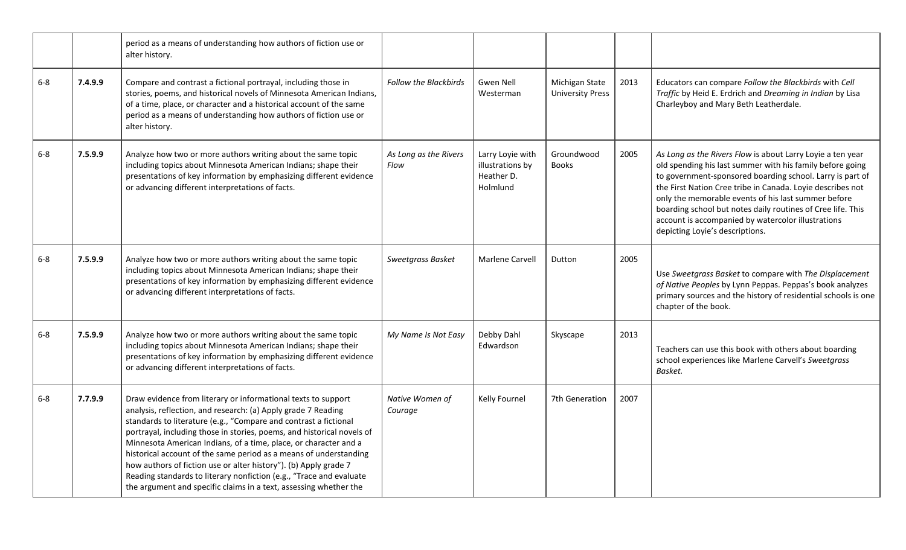|       |         | period as a means of understanding how authors of fiction use or<br>alter history.                                                                                                                                                                                                                                                                                                                                                                                                                                                                                                                                                    |                               |                                                                |                                           |      |                                                                                                                                                                                                                                                                                                                                                                                                                                                                   |
|-------|---------|---------------------------------------------------------------------------------------------------------------------------------------------------------------------------------------------------------------------------------------------------------------------------------------------------------------------------------------------------------------------------------------------------------------------------------------------------------------------------------------------------------------------------------------------------------------------------------------------------------------------------------------|-------------------------------|----------------------------------------------------------------|-------------------------------------------|------|-------------------------------------------------------------------------------------------------------------------------------------------------------------------------------------------------------------------------------------------------------------------------------------------------------------------------------------------------------------------------------------------------------------------------------------------------------------------|
| $6-8$ | 7.4.9.9 | Compare and contrast a fictional portrayal, including those in<br>stories, poems, and historical novels of Minnesota American Indians,<br>of a time, place, or character and a historical account of the same<br>period as a means of understanding how authors of fiction use or<br>alter history.                                                                                                                                                                                                                                                                                                                                   | <b>Follow the Blackbirds</b>  | Gwen Nell<br>Westerman                                         | Michigan State<br><b>University Press</b> | 2013 | Educators can compare Follow the Blackbirds with Cell<br>Traffic by Heid E. Erdrich and Dreaming in Indian by Lisa<br>Charleyboy and Mary Beth Leatherdale.                                                                                                                                                                                                                                                                                                       |
| $6-8$ | 7.5.9.9 | Analyze how two or more authors writing about the same topic<br>including topics about Minnesota American Indians; shape their<br>presentations of key information by emphasizing different evidence<br>or advancing different interpretations of facts.                                                                                                                                                                                                                                                                                                                                                                              | As Long as the Rivers<br>Flow | Larry Loyie with<br>illustrations by<br>Heather D.<br>Holmlund | Groundwood<br><b>Books</b>                | 2005 | As Long as the Rivers Flow is about Larry Loyie a ten year<br>old spending his last summer with his family before going<br>to government-sponsored boarding school. Larry is part of<br>the First Nation Cree tribe in Canada. Loyie describes not<br>only the memorable events of his last summer before<br>boarding school but notes daily routines of Cree life. This<br>account is accompanied by watercolor illustrations<br>depicting Loyie's descriptions. |
| $6-8$ | 7.5.9.9 | Analyze how two or more authors writing about the same topic<br>including topics about Minnesota American Indians; shape their<br>presentations of key information by emphasizing different evidence<br>or advancing different interpretations of facts.                                                                                                                                                                                                                                                                                                                                                                              | Sweetgrass Basket             | <b>Marlene Carvell</b>                                         | Dutton                                    | 2005 | Use Sweetgrass Basket to compare with The Displacement<br>of Native Peoples by Lynn Peppas. Peppas's book analyzes<br>primary sources and the history of residential schools is one<br>chapter of the book.                                                                                                                                                                                                                                                       |
| $6-8$ | 7.5.9.9 | Analyze how two or more authors writing about the same topic<br>including topics about Minnesota American Indians; shape their<br>presentations of key information by emphasizing different evidence<br>or advancing different interpretations of facts.                                                                                                                                                                                                                                                                                                                                                                              | My Name Is Not Easy           | Debby Dahl<br>Edwardson                                        | Skyscape                                  | 2013 | Teachers can use this book with others about boarding<br>school experiences like Marlene Carvell's Sweetgrass<br>Basket.                                                                                                                                                                                                                                                                                                                                          |
| $6-8$ | 7.7.9.9 | Draw evidence from literary or informational texts to support<br>analysis, reflection, and research: (a) Apply grade 7 Reading<br>standards to literature (e.g., "Compare and contrast a fictional<br>portrayal, including those in stories, poems, and historical novels of<br>Minnesota American Indians, of a time, place, or character and a<br>historical account of the same period as a means of understanding<br>how authors of fiction use or alter history"). (b) Apply grade 7<br>Reading standards to literary nonfiction (e.g., "Trace and evaluate<br>the argument and specific claims in a text, assessing whether the | Native Women of<br>Courage    | Kelly Fournel                                                  | 7th Generation                            | 2007 |                                                                                                                                                                                                                                                                                                                                                                                                                                                                   |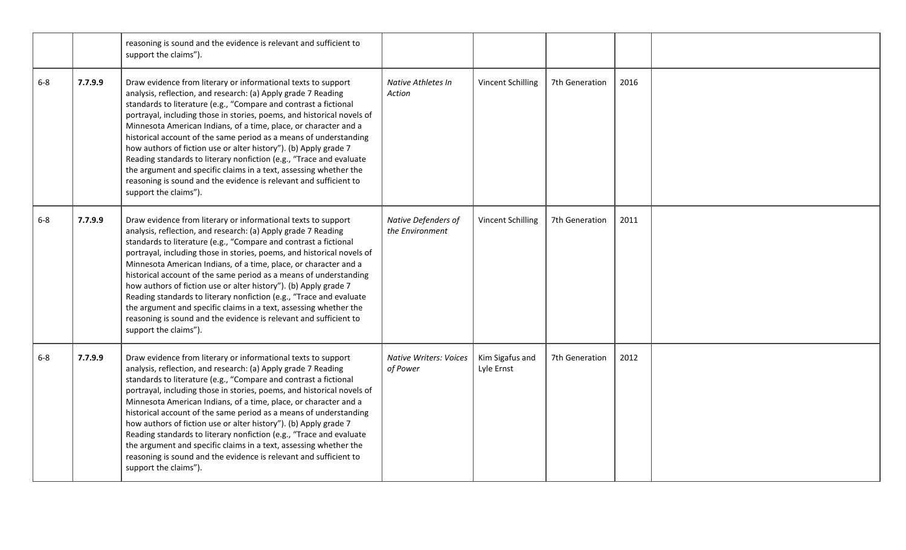|         |         | reasoning is sound and the evidence is relevant and sufficient to<br>support the claims").                                                                                                                                                                                                                                                                                                                                                                                                                                                                                                                                                                                                                                          |                                           |                               |                |      |  |
|---------|---------|-------------------------------------------------------------------------------------------------------------------------------------------------------------------------------------------------------------------------------------------------------------------------------------------------------------------------------------------------------------------------------------------------------------------------------------------------------------------------------------------------------------------------------------------------------------------------------------------------------------------------------------------------------------------------------------------------------------------------------------|-------------------------------------------|-------------------------------|----------------|------|--|
| $6-8$   | 7.7.9.9 | Draw evidence from literary or informational texts to support<br>analysis, reflection, and research: (a) Apply grade 7 Reading<br>standards to literature (e.g., "Compare and contrast a fictional<br>portrayal, including those in stories, poems, and historical novels of<br>Minnesota American Indians, of a time, place, or character and a<br>historical account of the same period as a means of understanding<br>how authors of fiction use or alter history"). (b) Apply grade 7<br>Reading standards to literary nonfiction (e.g., "Trace and evaluate<br>the argument and specific claims in a text, assessing whether the<br>reasoning is sound and the evidence is relevant and sufficient to<br>support the claims"). | Native Athletes In<br>Action              | Vincent Schilling             | 7th Generation | 2016 |  |
| $6 - 8$ | 7.7.9.9 | Draw evidence from literary or informational texts to support<br>analysis, reflection, and research: (a) Apply grade 7 Reading<br>standards to literature (e.g., "Compare and contrast a fictional<br>portrayal, including those in stories, poems, and historical novels of<br>Minnesota American Indians, of a time, place, or character and a<br>historical account of the same period as a means of understanding<br>how authors of fiction use or alter history"). (b) Apply grade 7<br>Reading standards to literary nonfiction (e.g., "Trace and evaluate<br>the argument and specific claims in a text, assessing whether the<br>reasoning is sound and the evidence is relevant and sufficient to<br>support the claims"). | Native Defenders of<br>the Environment    | Vincent Schilling             | 7th Generation | 2011 |  |
| $6-8$   | 7.7.9.9 | Draw evidence from literary or informational texts to support<br>analysis, reflection, and research: (a) Apply grade 7 Reading<br>standards to literature (e.g., "Compare and contrast a fictional<br>portrayal, including those in stories, poems, and historical novels of<br>Minnesota American Indians, of a time, place, or character and a<br>historical account of the same period as a means of understanding<br>how authors of fiction use or alter history"). (b) Apply grade 7<br>Reading standards to literary nonfiction (e.g., "Trace and evaluate<br>the argument and specific claims in a text, assessing whether the<br>reasoning is sound and the evidence is relevant and sufficient to<br>support the claims"). | <b>Native Writers: Voices</b><br>of Power | Kim Sigafus and<br>Lyle Ernst | 7th Generation | 2012 |  |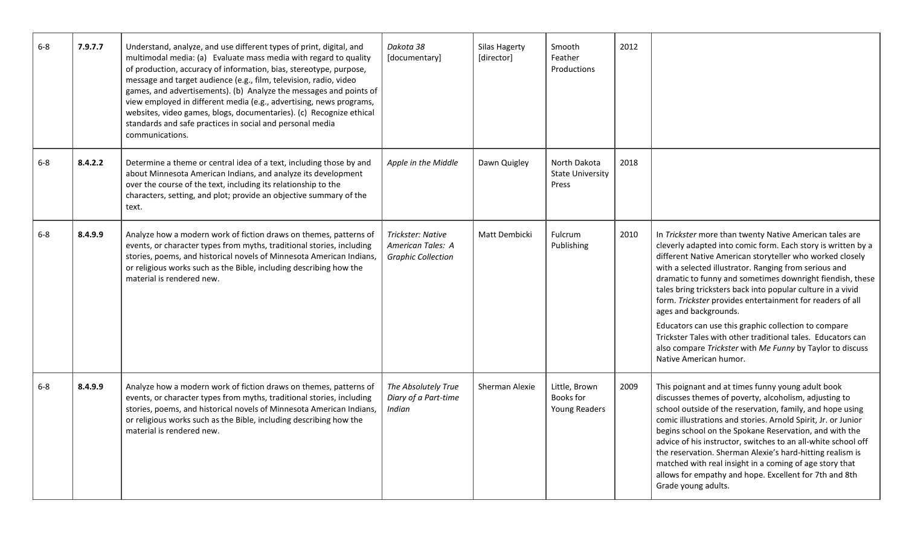| $6-8$   | 7.9.7.7 | Understand, analyze, and use different types of print, digital, and<br>multimodal media: (a) Evaluate mass media with regard to quality<br>of production, accuracy of information, bias, stereotype, purpose,<br>message and target audience (e.g., film, television, radio, video<br>games, and advertisements). (b) Analyze the messages and points of<br>view employed in different media (e.g., advertising, news programs,<br>websites, video games, blogs, documentaries). (c) Recognize ethical<br>standards and safe practices in social and personal media<br>communications. | Dakota 38<br>[documentary]                                          | Silas Hagerty<br>[director] | Smooth<br>Feather<br>Productions                 | 2012 |                                                                                                                                                                                                                                                                                                                                                                                                                                                                                                                                                                                                                                                                              |
|---------|---------|----------------------------------------------------------------------------------------------------------------------------------------------------------------------------------------------------------------------------------------------------------------------------------------------------------------------------------------------------------------------------------------------------------------------------------------------------------------------------------------------------------------------------------------------------------------------------------------|---------------------------------------------------------------------|-----------------------------|--------------------------------------------------|------|------------------------------------------------------------------------------------------------------------------------------------------------------------------------------------------------------------------------------------------------------------------------------------------------------------------------------------------------------------------------------------------------------------------------------------------------------------------------------------------------------------------------------------------------------------------------------------------------------------------------------------------------------------------------------|
| $6-8$   | 8.4.2.2 | Determine a theme or central idea of a text, including those by and<br>about Minnesota American Indians, and analyze its development<br>over the course of the text, including its relationship to the<br>characters, setting, and plot; provide an objective summary of the<br>text.                                                                                                                                                                                                                                                                                                  | Apple in the Middle                                                 | Dawn Quigley                | North Dakota<br><b>State University</b><br>Press | 2018 |                                                                                                                                                                                                                                                                                                                                                                                                                                                                                                                                                                                                                                                                              |
| $6-8$   | 8.4.9.9 | Analyze how a modern work of fiction draws on themes, patterns of<br>events, or character types from myths, traditional stories, including<br>stories, poems, and historical novels of Minnesota American Indians,<br>or religious works such as the Bible, including describing how the<br>material is rendered new.                                                                                                                                                                                                                                                                  | Trickster: Native<br>American Tales: A<br><b>Graphic Collection</b> | Matt Dembicki               | Fulcrum<br>Publishing                            | 2010 | In Trickster more than twenty Native American tales are<br>cleverly adapted into comic form. Each story is written by a<br>different Native American storyteller who worked closely<br>with a selected illustrator. Ranging from serious and<br>dramatic to funny and sometimes downright fiendish, these<br>tales bring tricksters back into popular culture in a vivid<br>form. Trickster provides entertainment for readers of all<br>ages and backgrounds.<br>Educators can use this graphic collection to compare<br>Trickster Tales with other traditional tales. Educators can<br>also compare Trickster with Me Funny by Taylor to discuss<br>Native American humor. |
| $6 - 8$ | 8.4.9.9 | Analyze how a modern work of fiction draws on themes, patterns of<br>events, or character types from myths, traditional stories, including<br>stories, poems, and historical novels of Minnesota American Indians,<br>or religious works such as the Bible, including describing how the<br>material is rendered new.                                                                                                                                                                                                                                                                  | The Absolutely True<br>Diary of a Part-time<br>Indian               | Sherman Alexie              | Little, Brown<br>Books for<br>Young Readers      | 2009 | This poignant and at times funny young adult book<br>discusses themes of poverty, alcoholism, adjusting to<br>school outside of the reservation, family, and hope using<br>comic illustrations and stories. Arnold Spirit, Jr. or Junior<br>begins school on the Spokane Reservation, and with the<br>advice of his instructor, switches to an all-white school off<br>the reservation. Sherman Alexie's hard-hitting realism is<br>matched with real insight in a coming of age story that<br>allows for empathy and hope. Excellent for 7th and 8th<br>Grade young adults.                                                                                                 |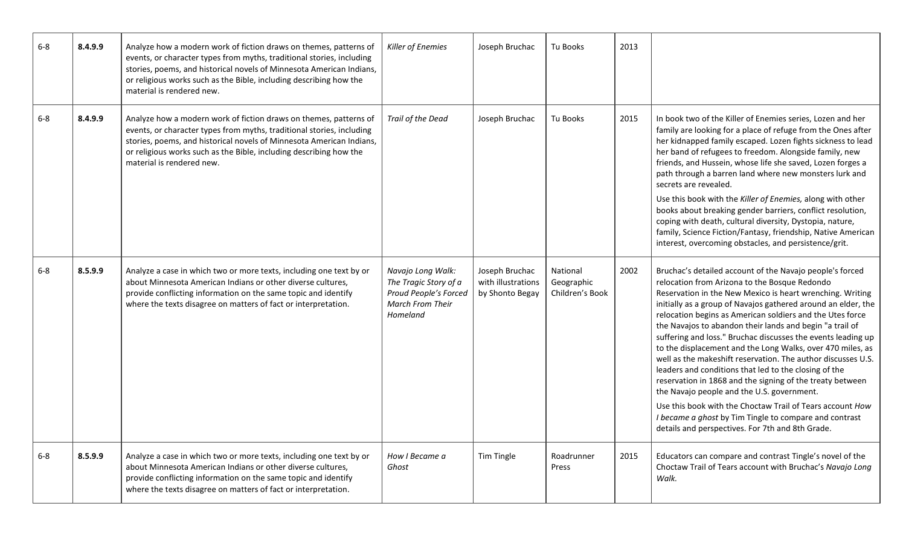| $6 - 8$ | 8.4.9.9 | Analyze how a modern work of fiction draws on themes, patterns of<br>events, or character types from myths, traditional stories, including<br>stories, poems, and historical novels of Minnesota American Indians,<br>or religious works such as the Bible, including describing how the<br>material is rendered new. | Killer of Enemies                                                                                   | Joseph Bruchac                                          | Tu Books                                  | 2013 |                                                                                                                                                                                                                                                                                                                                                                                                                                                                                                                                                                                                                                                                                                                                                                                                                                                                                                               |
|---------|---------|-----------------------------------------------------------------------------------------------------------------------------------------------------------------------------------------------------------------------------------------------------------------------------------------------------------------------|-----------------------------------------------------------------------------------------------------|---------------------------------------------------------|-------------------------------------------|------|---------------------------------------------------------------------------------------------------------------------------------------------------------------------------------------------------------------------------------------------------------------------------------------------------------------------------------------------------------------------------------------------------------------------------------------------------------------------------------------------------------------------------------------------------------------------------------------------------------------------------------------------------------------------------------------------------------------------------------------------------------------------------------------------------------------------------------------------------------------------------------------------------------------|
| $6-8$   | 8.4.9.9 | Analyze how a modern work of fiction draws on themes, patterns of<br>events, or character types from myths, traditional stories, including<br>stories, poems, and historical novels of Minnesota American Indians,<br>or religious works such as the Bible, including describing how the<br>material is rendered new. | Trail of the Dead                                                                                   | Joseph Bruchac                                          | Tu Books                                  | 2015 | In book two of the Killer of Enemies series, Lozen and her<br>family are looking for a place of refuge from the Ones after<br>her kidnapped family escaped. Lozen fights sickness to lead<br>her band of refugees to freedom. Alongside family, new<br>friends, and Hussein, whose life she saved, Lozen forges a<br>path through a barren land where new monsters lurk and<br>secrets are revealed.<br>Use this book with the Killer of Enemies, along with other<br>books about breaking gender barriers, conflict resolution,<br>coping with death, cultural diversity, Dystopia, nature,<br>family, Science Fiction/Fantasy, friendship, Native American<br>interest, overcoming obstacles, and persistence/grit.                                                                                                                                                                                         |
| $6-8$   | 8.5.9.9 | Analyze a case in which two or more texts, including one text by or<br>about Minnesota American Indians or other diverse cultures,<br>provide conflicting information on the same topic and identify<br>where the texts disagree on matters of fact or interpretation.                                                | Navajo Long Walk:<br>The Tragic Story of a<br>Proud People's Forced<br>March From Their<br>Homeland | Joseph Bruchac<br>with illustrations<br>by Shonto Begay | National<br>Geographic<br>Children's Book | 2002 | Bruchac's detailed account of the Navajo people's forced<br>relocation from Arizona to the Bosque Redondo<br>Reservation in the New Mexico is heart wrenching. Writing<br>initially as a group of Navajos gathered around an elder, the<br>relocation begins as American soldiers and the Utes force<br>the Navajos to abandon their lands and begin "a trail of<br>suffering and loss." Bruchac discusses the events leading up<br>to the displacement and the Long Walks, over 470 miles, as<br>well as the makeshift reservation. The author discusses U.S.<br>leaders and conditions that led to the closing of the<br>reservation in 1868 and the signing of the treaty between<br>the Navajo people and the U.S. government.<br>Use this book with the Choctaw Trail of Tears account How<br>I became a ghost by Tim Tingle to compare and contrast<br>details and perspectives. For 7th and 8th Grade. |
| $6-8$   | 8.5.9.9 | Analyze a case in which two or more texts, including one text by or<br>about Minnesota American Indians or other diverse cultures,<br>provide conflicting information on the same topic and identify<br>where the texts disagree on matters of fact or interpretation.                                                | How I Became a<br>Ghost                                                                             | Tim Tingle                                              | Roadrunner<br>Press                       | 2015 | Educators can compare and contrast Tingle's novel of the<br>Choctaw Trail of Tears account with Bruchac's Navajo Long<br>Walk.                                                                                                                                                                                                                                                                                                                                                                                                                                                                                                                                                                                                                                                                                                                                                                                |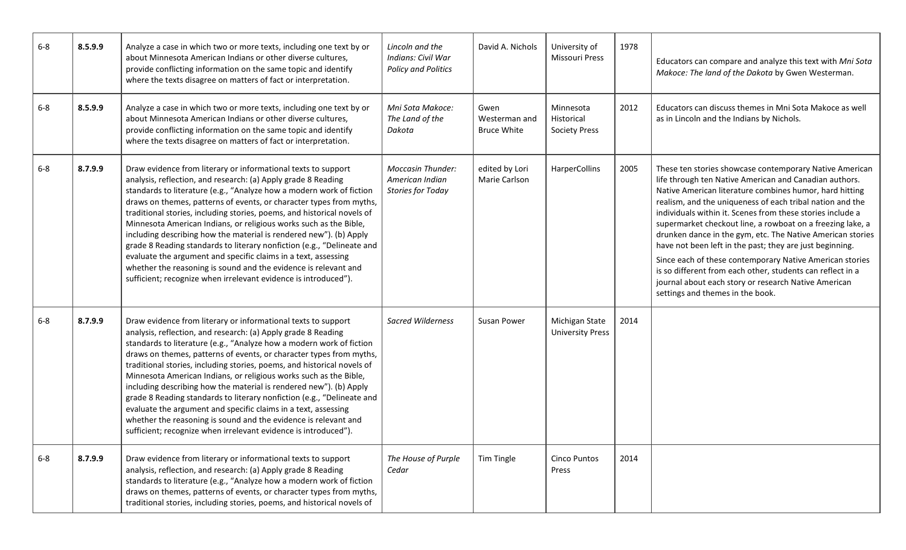| $6-8$ | 8.5.9.9 | Analyze a case in which two or more texts, including one text by or<br>about Minnesota American Indians or other diverse cultures,<br>provide conflicting information on the same topic and identify<br>where the texts disagree on matters of fact or interpretation.                                                                                                                                                                                                                                                                                                                                                                                                                                                                                                                | Lincoln and the<br>Indians: Civil War<br><b>Policy and Politics</b>     | David A. Nichols                            | University of<br>Missouri Press                 | 1978 | Educators can compare and analyze this text with Mni Sota<br>Makoce: The land of the Dakota by Gwen Westerman.                                                                                                                                                                                                                                                                                                                                                                                                                                                                                                                                                                                                        |
|-------|---------|---------------------------------------------------------------------------------------------------------------------------------------------------------------------------------------------------------------------------------------------------------------------------------------------------------------------------------------------------------------------------------------------------------------------------------------------------------------------------------------------------------------------------------------------------------------------------------------------------------------------------------------------------------------------------------------------------------------------------------------------------------------------------------------|-------------------------------------------------------------------------|---------------------------------------------|-------------------------------------------------|------|-----------------------------------------------------------------------------------------------------------------------------------------------------------------------------------------------------------------------------------------------------------------------------------------------------------------------------------------------------------------------------------------------------------------------------------------------------------------------------------------------------------------------------------------------------------------------------------------------------------------------------------------------------------------------------------------------------------------------|
| $6-8$ | 8.5.9.9 | Analyze a case in which two or more texts, including one text by or<br>about Minnesota American Indians or other diverse cultures,<br>provide conflicting information on the same topic and identify<br>where the texts disagree on matters of fact or interpretation.                                                                                                                                                                                                                                                                                                                                                                                                                                                                                                                | Mni Sota Makoce:<br>The Land of the<br>Dakota                           | Gwen<br>Westerman and<br><b>Bruce White</b> | Minnesota<br>Historical<br><b>Society Press</b> | 2012 | Educators can discuss themes in Mni Sota Makoce as well<br>as in Lincoln and the Indians by Nichols.                                                                                                                                                                                                                                                                                                                                                                                                                                                                                                                                                                                                                  |
| $6-8$ | 8.7.9.9 | Draw evidence from literary or informational texts to support<br>analysis, reflection, and research: (a) Apply grade 8 Reading<br>standards to literature (e.g., "Analyze how a modern work of fiction<br>draws on themes, patterns of events, or character types from myths,<br>traditional stories, including stories, poems, and historical novels of<br>Minnesota American Indians, or religious works such as the Bible,<br>including describing how the material is rendered new"). (b) Apply<br>grade 8 Reading standards to literary nonfiction (e.g., "Delineate and<br>evaluate the argument and specific claims in a text, assessing<br>whether the reasoning is sound and the evidence is relevant and<br>sufficient; recognize when irrelevant evidence is introduced"). | <b>Moccasin Thunder:</b><br>American Indian<br><b>Stories for Today</b> | edited by Lori<br>Marie Carlson             | HarperCollins                                   | 2005 | These ten stories showcase contemporary Native American<br>life through ten Native American and Canadian authors.<br>Native American literature combines humor, hard hitting<br>realism, and the uniqueness of each tribal nation and the<br>individuals within it. Scenes from these stories include a<br>supermarket checkout line, a rowboat on a freezing lake, a<br>drunken dance in the gym, etc. The Native American stories<br>have not been left in the past; they are just beginning.<br>Since each of these contemporary Native American stories<br>is so different from each other, students can reflect in a<br>journal about each story or research Native American<br>settings and themes in the book. |
| $6-8$ | 8.7.9.9 | Draw evidence from literary or informational texts to support<br>analysis, reflection, and research: (a) Apply grade 8 Reading<br>standards to literature (e.g., "Analyze how a modern work of fiction<br>draws on themes, patterns of events, or character types from myths,<br>traditional stories, including stories, poems, and historical novels of<br>Minnesota American Indians, or religious works such as the Bible,<br>including describing how the material is rendered new"). (b) Apply<br>grade 8 Reading standards to literary nonfiction (e.g., "Delineate and<br>evaluate the argument and specific claims in a text, assessing<br>whether the reasoning is sound and the evidence is relevant and<br>sufficient; recognize when irrelevant evidence is introduced"). | <b>Sacred Wilderness</b>                                                | Susan Power                                 | Michigan State<br><b>University Press</b>       | 2014 |                                                                                                                                                                                                                                                                                                                                                                                                                                                                                                                                                                                                                                                                                                                       |
| $6-8$ | 8.7.9.9 | Draw evidence from literary or informational texts to support<br>analysis, reflection, and research: (a) Apply grade 8 Reading<br>standards to literature (e.g., "Analyze how a modern work of fiction<br>draws on themes, patterns of events, or character types from myths,<br>traditional stories, including stories, poems, and historical novels of                                                                                                                                                                                                                                                                                                                                                                                                                              | The House of Purple<br>Cedar                                            | Tim Tingle                                  | Cinco Puntos<br>Press                           | 2014 |                                                                                                                                                                                                                                                                                                                                                                                                                                                                                                                                                                                                                                                                                                                       |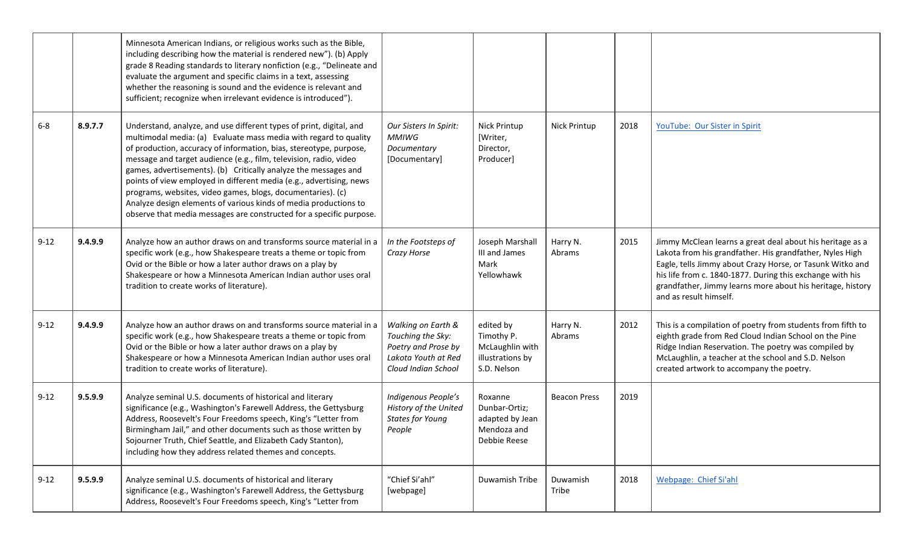|          |         | Minnesota American Indians, or religious works such as the Bible,<br>including describing how the material is rendered new"). (b) Apply<br>grade 8 Reading standards to literary nonfiction (e.g., "Delineate and<br>evaluate the argument and specific claims in a text, assessing<br>whether the reasoning is sound and the evidence is relevant and<br>sufficient; recognize when irrelevant evidence is introduced").                                                                                                                                                                                                              |                                                                                                              |                                                                               |                     |      |                                                                                                                                                                                                                                                                                                                                         |
|----------|---------|----------------------------------------------------------------------------------------------------------------------------------------------------------------------------------------------------------------------------------------------------------------------------------------------------------------------------------------------------------------------------------------------------------------------------------------------------------------------------------------------------------------------------------------------------------------------------------------------------------------------------------------|--------------------------------------------------------------------------------------------------------------|-------------------------------------------------------------------------------|---------------------|------|-----------------------------------------------------------------------------------------------------------------------------------------------------------------------------------------------------------------------------------------------------------------------------------------------------------------------------------------|
| $6-8$    | 8.9.7.7 | Understand, analyze, and use different types of print, digital, and<br>multimodal media: (a) Evaluate mass media with regard to quality<br>of production, accuracy of information, bias, stereotype, purpose,<br>message and target audience (e.g., film, television, radio, video<br>games, advertisements). (b) Critically analyze the messages and<br>points of view employed in different media (e.g., advertising, news<br>programs, websites, video games, blogs, documentaries). (c)<br>Analyze design elements of various kinds of media productions to<br>observe that media messages are constructed for a specific purpose. | Our Sisters In Spirit:<br>MMIWG<br>Documentary<br>[Documentary]                                              | Nick Printup<br>[Writer,<br>Director,<br>Producer]                            | Nick Printup        | 2018 | YouTube: Our Sister in Spirit                                                                                                                                                                                                                                                                                                           |
| $9 - 12$ | 9.4.9.9 | Analyze how an author draws on and transforms source material in a<br>specific work (e.g., how Shakespeare treats a theme or topic from<br>Ovid or the Bible or how a later author draws on a play by<br>Shakespeare or how a Minnesota American Indian author uses oral<br>tradition to create works of literature).                                                                                                                                                                                                                                                                                                                  | In the Footsteps of<br>Crazy Horse                                                                           | Joseph Marshall<br>III and James<br>Mark<br>Yellowhawk                        | Harry N.<br>Abrams  | 2015 | Jimmy McClean learns a great deal about his heritage as a<br>Lakota from his grandfather. His grandfather, Nyles High<br>Eagle, tells Jimmy about Crazy Horse, or Tasunk Witko and<br>his life from c. 1840-1877. During this exchange with his<br>grandfather, Jimmy learns more about his heritage, history<br>and as result himself. |
| $9 - 12$ | 9.4.9.9 | Analyze how an author draws on and transforms source material in a<br>specific work (e.g., how Shakespeare treats a theme or topic from<br>Ovid or the Bible or how a later author draws on a play by<br>Shakespeare or how a Minnesota American Indian author uses oral<br>tradition to create works of literature).                                                                                                                                                                                                                                                                                                                  | Walking on Earth &<br>Touching the Sky:<br>Poetry and Prose by<br>Lakota Youth at Red<br>Cloud Indian School | edited by<br>Timothy P.<br>McLaughlin with<br>illustrations by<br>S.D. Nelson | Harry N.<br>Abrams  | 2012 | This is a compilation of poetry from students from fifth to<br>eighth grade from Red Cloud Indian School on the Pine<br>Ridge Indian Reservation. The poetry was compiled by<br>McLaughlin, a teacher at the school and S.D. Nelson<br>created artwork to accompany the poetry.                                                         |
| $9 - 12$ | 9.5.9.9 | Analyze seminal U.S. documents of historical and literary<br>significance (e.g., Washington's Farewell Address, the Gettysburg<br>Address, Roosevelt's Four Freedoms speech, King's "Letter from<br>Birmingham Jail," and other documents such as those written by<br>Sojourner Truth, Chief Seattle, and Elizabeth Cady Stanton),<br>including how they address related themes and concepts.                                                                                                                                                                                                                                          | Indigenous People's<br>History of the United<br><b>States for Young</b><br>People                            | Roxanne<br>Dunbar-Ortiz;<br>adapted by Jean<br>Mendoza and<br>Debbie Reese    | <b>Beacon Press</b> | 2019 |                                                                                                                                                                                                                                                                                                                                         |
| $9 - 12$ | 9.5.9.9 | Analyze seminal U.S. documents of historical and literary<br>significance (e.g., Washington's Farewell Address, the Gettysburg<br>Address, Roosevelt's Four Freedoms speech, King's "Letter from                                                                                                                                                                                                                                                                                                                                                                                                                                       | "Chief Si'ahl"<br>[webpage]                                                                                  | Duwamish Tribe                                                                | Duwamish<br>Tribe   | 2018 | Webpage: Chief Si'ahl                                                                                                                                                                                                                                                                                                                   |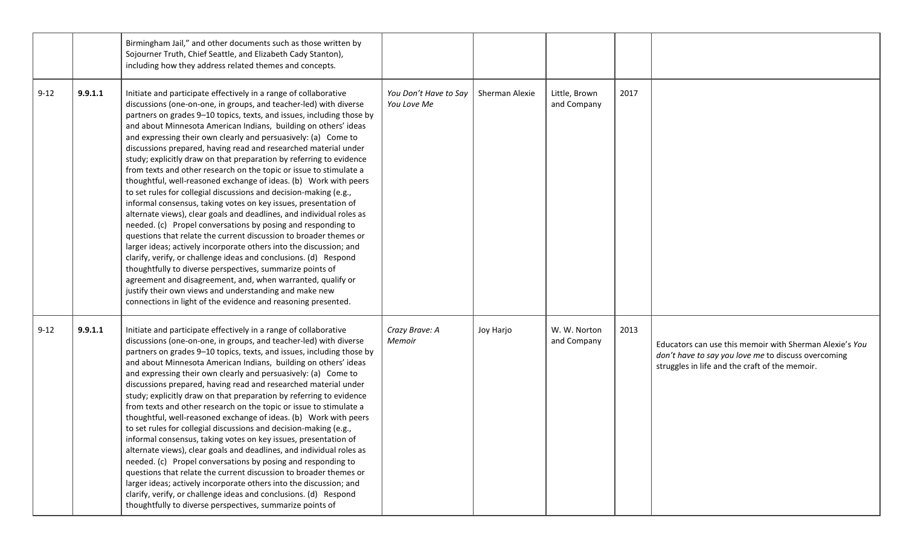|          |         | Birmingham Jail," and other documents such as those written by<br>Sojourner Truth, Chief Seattle, and Elizabeth Cady Stanton),<br>including how they address related themes and concepts.                                                                                                                                                                                                                                                                                                                                                                                                                                                                                                                                                                                                                                                                                                                                                                                                                                                                                                                                                                                                                                                                                                                                                                                                     |                                      |                |                              |      |                                                                                                                                                                  |
|----------|---------|-----------------------------------------------------------------------------------------------------------------------------------------------------------------------------------------------------------------------------------------------------------------------------------------------------------------------------------------------------------------------------------------------------------------------------------------------------------------------------------------------------------------------------------------------------------------------------------------------------------------------------------------------------------------------------------------------------------------------------------------------------------------------------------------------------------------------------------------------------------------------------------------------------------------------------------------------------------------------------------------------------------------------------------------------------------------------------------------------------------------------------------------------------------------------------------------------------------------------------------------------------------------------------------------------------------------------------------------------------------------------------------------------|--------------------------------------|----------------|------------------------------|------|------------------------------------------------------------------------------------------------------------------------------------------------------------------|
| $9 - 12$ | 9.9.1.1 | Initiate and participate effectively in a range of collaborative<br>discussions (one-on-one, in groups, and teacher-led) with diverse<br>partners on grades 9-10 topics, texts, and issues, including those by<br>and about Minnesota American Indians, building on others' ideas<br>and expressing their own clearly and persuasively: (a) Come to<br>discussions prepared, having read and researched material under<br>study; explicitly draw on that preparation by referring to evidence<br>from texts and other research on the topic or issue to stimulate a<br>thoughtful, well-reasoned exchange of ideas. (b) Work with peers<br>to set rules for collegial discussions and decision-making (e.g.,<br>informal consensus, taking votes on key issues, presentation of<br>alternate views), clear goals and deadlines, and individual roles as<br>needed. (c) Propel conversations by posing and responding to<br>questions that relate the current discussion to broader themes or<br>larger ideas; actively incorporate others into the discussion; and<br>clarify, verify, or challenge ideas and conclusions. (d) Respond<br>thoughtfully to diverse perspectives, summarize points of<br>agreement and disagreement, and, when warranted, qualify or<br>justify their own views and understanding and make new<br>connections in light of the evidence and reasoning presented. | You Don't Have to Say<br>You Love Me | Sherman Alexie | Little, Brown<br>and Company | 2017 |                                                                                                                                                                  |
| $9 - 12$ | 9.9.1.1 | Initiate and participate effectively in a range of collaborative<br>discussions (one-on-one, in groups, and teacher-led) with diverse<br>partners on grades 9-10 topics, texts, and issues, including those by<br>and about Minnesota American Indians, building on others' ideas<br>and expressing their own clearly and persuasively: (a) Come to<br>discussions prepared, having read and researched material under<br>study; explicitly draw on that preparation by referring to evidence<br>from texts and other research on the topic or issue to stimulate a<br>thoughtful, well-reasoned exchange of ideas. (b) Work with peers<br>to set rules for collegial discussions and decision-making (e.g.,<br>informal consensus, taking votes on key issues, presentation of<br>alternate views), clear goals and deadlines, and individual roles as<br>needed. (c) Propel conversations by posing and responding to<br>questions that relate the current discussion to broader themes or<br>larger ideas; actively incorporate others into the discussion; and<br>clarify, verify, or challenge ideas and conclusions. (d) Respond<br>thoughtfully to diverse perspectives, summarize points of                                                                                                                                                                                           | Crazy Brave: A<br>Memoir             | Joy Harjo      | W. W. Norton<br>and Company  | 2013 | Educators can use this memoir with Sherman Alexie's You<br>don't have to say you love me to discuss overcoming<br>struggles in life and the craft of the memoir. |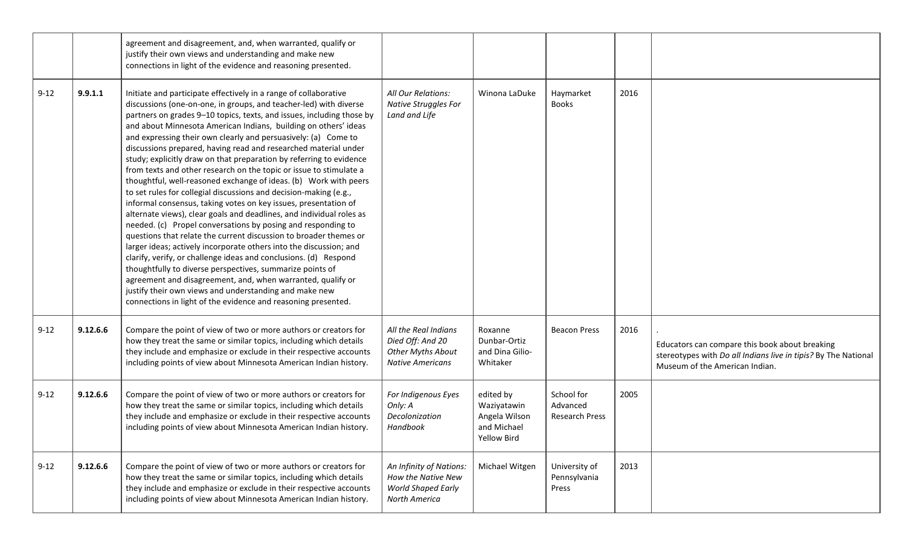|          |          | agreement and disagreement, and, when warranted, qualify or<br>justify their own views and understanding and make new<br>connections in light of the evidence and reasoning presented.                                                                                                                                                                                                                                                                                                                                                                                                                                                                                                                                                                                                                                                                                                                                                                                                                                                                                                                                                                                                                                                                                                                                                                                                        |                                                                                                 |                                                                         |                                                 |      |                                                                                                                                                    |
|----------|----------|-----------------------------------------------------------------------------------------------------------------------------------------------------------------------------------------------------------------------------------------------------------------------------------------------------------------------------------------------------------------------------------------------------------------------------------------------------------------------------------------------------------------------------------------------------------------------------------------------------------------------------------------------------------------------------------------------------------------------------------------------------------------------------------------------------------------------------------------------------------------------------------------------------------------------------------------------------------------------------------------------------------------------------------------------------------------------------------------------------------------------------------------------------------------------------------------------------------------------------------------------------------------------------------------------------------------------------------------------------------------------------------------------|-------------------------------------------------------------------------------------------------|-------------------------------------------------------------------------|-------------------------------------------------|------|----------------------------------------------------------------------------------------------------------------------------------------------------|
| $9 - 12$ | 9.9.1.1  | Initiate and participate effectively in a range of collaborative<br>discussions (one-on-one, in groups, and teacher-led) with diverse<br>partners on grades 9-10 topics, texts, and issues, including those by<br>and about Minnesota American Indians, building on others' ideas<br>and expressing their own clearly and persuasively: (a) Come to<br>discussions prepared, having read and researched material under<br>study; explicitly draw on that preparation by referring to evidence<br>from texts and other research on the topic or issue to stimulate a<br>thoughtful, well-reasoned exchange of ideas. (b) Work with peers<br>to set rules for collegial discussions and decision-making (e.g.,<br>informal consensus, taking votes on key issues, presentation of<br>alternate views), clear goals and deadlines, and individual roles as<br>needed. (c) Propel conversations by posing and responding to<br>questions that relate the current discussion to broader themes or<br>larger ideas; actively incorporate others into the discussion; and<br>clarify, verify, or challenge ideas and conclusions. (d) Respond<br>thoughtfully to diverse perspectives, summarize points of<br>agreement and disagreement, and, when warranted, qualify or<br>justify their own views and understanding and make new<br>connections in light of the evidence and reasoning presented. | All Our Relations:<br>Native Struggles For<br>Land and Life                                     | Winona LaDuke                                                           | Haymarket<br><b>Books</b>                       | 2016 |                                                                                                                                                    |
| $9 - 12$ | 9.12.6.6 | Compare the point of view of two or more authors or creators for<br>how they treat the same or similar topics, including which details<br>they include and emphasize or exclude in their respective accounts<br>including points of view about Minnesota American Indian history.                                                                                                                                                                                                                                                                                                                                                                                                                                                                                                                                                                                                                                                                                                                                                                                                                                                                                                                                                                                                                                                                                                             | All the Real Indians<br>Died Off: And 20<br><b>Other Myths About</b><br><b>Native Americans</b> | Roxanne<br>Dunbar-Ortiz<br>and Dina Gilio-<br>Whitaker                  | <b>Beacon Press</b>                             | 2016 | Educators can compare this book about breaking<br>stereotypes with Do all Indians live in tipis? By The National<br>Museum of the American Indian. |
| $9 - 12$ | 9.12.6.6 | Compare the point of view of two or more authors or creators for<br>how they treat the same or similar topics, including which details<br>they include and emphasize or exclude in their respective accounts<br>including points of view about Minnesota American Indian history.                                                                                                                                                                                                                                                                                                                                                                                                                                                                                                                                                                                                                                                                                                                                                                                                                                                                                                                                                                                                                                                                                                             | For Indigenous Eyes<br>Only: A<br>Decolonization<br>Handbook                                    | edited by<br>Waziyatawin<br>Angela Wilson<br>and Michael<br>Yellow Bird | School for<br>Advanced<br><b>Research Press</b> | 2005 |                                                                                                                                                    |
| $9 - 12$ | 9.12.6.6 | Compare the point of view of two or more authors or creators for<br>how they treat the same or similar topics, including which details<br>they include and emphasize or exclude in their respective accounts<br>including points of view about Minnesota American Indian history.                                                                                                                                                                                                                                                                                                                                                                                                                                                                                                                                                                                                                                                                                                                                                                                                                                                                                                                                                                                                                                                                                                             | An Infinity of Nations:<br>How the Native New<br>World Shaped Early<br>North America            | Michael Witgen                                                          | University of<br>Pennsylvania<br>Press          | 2013 |                                                                                                                                                    |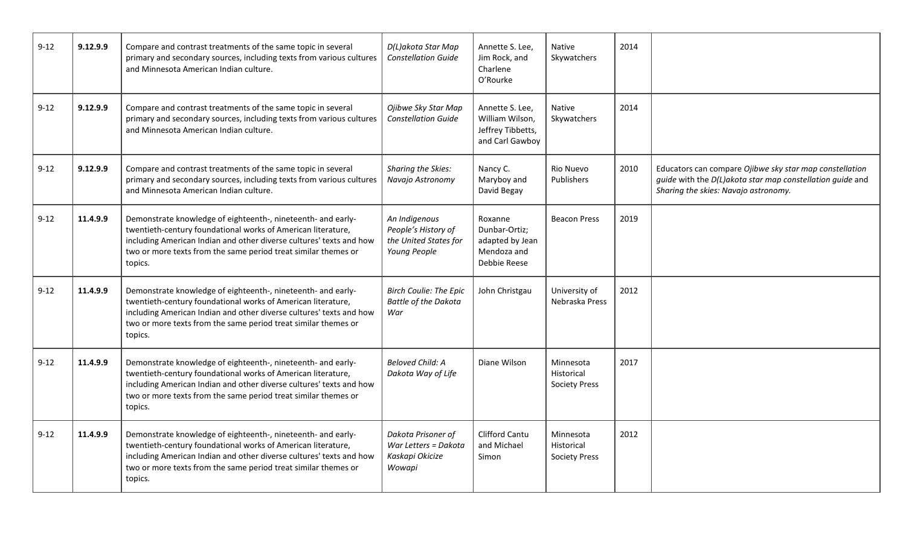| $9 - 12$ | 9.12.9.9 | Compare and contrast treatments of the same topic in several<br>primary and secondary sources, including texts from various cultures<br>and Minnesota American Indian culture.                                                                                                   | D(L)akota Star Map<br><b>Constellation Guide</b>                              | Annette S. Lee,<br>Jim Rock, and<br>Charlene<br>O'Rourke                   | <b>Native</b><br>Skywatchers                    | 2014 |                                                                                                                                                              |
|----------|----------|----------------------------------------------------------------------------------------------------------------------------------------------------------------------------------------------------------------------------------------------------------------------------------|-------------------------------------------------------------------------------|----------------------------------------------------------------------------|-------------------------------------------------|------|--------------------------------------------------------------------------------------------------------------------------------------------------------------|
| $9 - 12$ | 9.12.9.9 | Compare and contrast treatments of the same topic in several<br>primary and secondary sources, including texts from various cultures<br>and Minnesota American Indian culture.                                                                                                   | Ojibwe Sky Star Map<br><b>Constellation Guide</b>                             | Annette S. Lee,<br>William Wilson,<br>Jeffrey Tibbetts,<br>and Carl Gawboy | <b>Native</b><br>Skywatchers                    | 2014 |                                                                                                                                                              |
| $9 - 12$ | 9.12.9.9 | Compare and contrast treatments of the same topic in several<br>primary and secondary sources, including texts from various cultures<br>and Minnesota American Indian culture.                                                                                                   | Sharing the Skies:<br>Navajo Astronomy                                        | Nancy C.<br>Maryboy and<br>David Begay                                     | Rio Nuevo<br>Publishers                         | 2010 | Educators can compare Ojibwe sky star map constellation<br>guide with the D(L)akota star map constellation guide and<br>Sharing the skies: Navajo astronomy. |
| $9 - 12$ | 11.4.9.9 | Demonstrate knowledge of eighteenth-, nineteenth- and early-<br>twentieth-century foundational works of American literature,<br>including American Indian and other diverse cultures' texts and how<br>two or more texts from the same period treat similar themes or<br>topics. | An Indigenous<br>People's History of<br>the United States for<br>Young People | Roxanne<br>Dunbar-Ortiz;<br>adapted by Jean<br>Mendoza and<br>Debbie Reese | <b>Beacon Press</b>                             | 2019 |                                                                                                                                                              |
| $9 - 12$ | 11.4.9.9 | Demonstrate knowledge of eighteenth-, nineteenth- and early-<br>twentieth-century foundational works of American literature,<br>including American Indian and other diverse cultures' texts and how<br>two or more texts from the same period treat similar themes or<br>topics. | <b>Birch Coulie: The Epic</b><br><b>Battle of the Dakota</b><br>War           | John Christgau                                                             | University of<br>Nebraska Press                 | 2012 |                                                                                                                                                              |
| $9 - 12$ | 11.4.9.9 | Demonstrate knowledge of eighteenth-, nineteenth- and early-<br>twentieth-century foundational works of American literature,<br>including American Indian and other diverse cultures' texts and how<br>two or more texts from the same period treat similar themes or<br>topics. | <b>Beloved Child: A</b><br>Dakota Way of Life                                 | Diane Wilson                                                               | Minnesota<br>Historical<br><b>Society Press</b> | 2017 |                                                                                                                                                              |
| $9 - 12$ | 11.4.9.9 | Demonstrate knowledge of eighteenth-, nineteenth- and early-<br>twentieth-century foundational works of American literature,<br>including American Indian and other diverse cultures' texts and how<br>two or more texts from the same period treat similar themes or<br>topics. | Dakota Prisoner of<br>War Letters = Dakota<br>Kaskapi Okicize<br>Wowapi       | Clifford Cantu<br>and Michael<br>Simon                                     | Minnesota<br>Historical<br><b>Society Press</b> | 2012 |                                                                                                                                                              |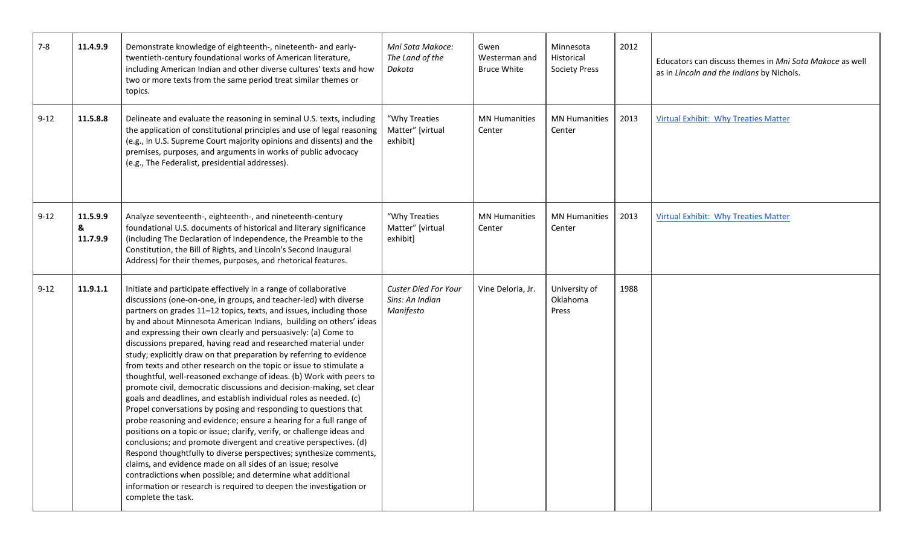| $7 - 8$  | 11.4.9.9                  | Demonstrate knowledge of eighteenth-, nineteenth- and early-<br>twentieth-century foundational works of American literature,<br>including American Indian and other diverse cultures' texts and how<br>two or more texts from the same period treat similar themes or<br>topics.                                                                                                                                                                                                                                                                                                                                                                                                                                                                                                                                                                                                                                                                                                                                                                                                                                                                                                                                                                                                                                                                                                  | Mni Sota Makoce:<br>The Land of the<br>Dakota               | Gwen<br>Westerman and<br><b>Bruce White</b> | Minnesota<br>Historical<br><b>Society Press</b> | 2012 | Educators can discuss themes in Mni Sota Makoce as well<br>as in Lincoln and the Indians by Nichols. |
|----------|---------------------------|-----------------------------------------------------------------------------------------------------------------------------------------------------------------------------------------------------------------------------------------------------------------------------------------------------------------------------------------------------------------------------------------------------------------------------------------------------------------------------------------------------------------------------------------------------------------------------------------------------------------------------------------------------------------------------------------------------------------------------------------------------------------------------------------------------------------------------------------------------------------------------------------------------------------------------------------------------------------------------------------------------------------------------------------------------------------------------------------------------------------------------------------------------------------------------------------------------------------------------------------------------------------------------------------------------------------------------------------------------------------------------------|-------------------------------------------------------------|---------------------------------------------|-------------------------------------------------|------|------------------------------------------------------------------------------------------------------|
| $9 - 12$ | 11.5.8.8                  | Delineate and evaluate the reasoning in seminal U.S. texts, including<br>the application of constitutional principles and use of legal reasoning<br>(e.g., in U.S. Supreme Court majority opinions and dissents) and the<br>premises, purposes, and arguments in works of public advocacy<br>(e.g., The Federalist, presidential addresses).                                                                                                                                                                                                                                                                                                                                                                                                                                                                                                                                                                                                                                                                                                                                                                                                                                                                                                                                                                                                                                      | "Why Treaties<br>Matter" [virtual<br>exhibit]               | <b>MN Humanities</b><br>Center              | <b>MN Humanities</b><br>Center                  | 2013 | <b>Virtual Exhibit: Why Treaties Matter</b>                                                          |
| $9 - 12$ | 11.5.9.9<br>&<br>11.7.9.9 | Analyze seventeenth-, eighteenth-, and nineteenth-century<br>foundational U.S. documents of historical and literary significance<br>(including The Declaration of Independence, the Preamble to the<br>Constitution, the Bill of Rights, and Lincoln's Second Inaugural<br>Address) for their themes, purposes, and rhetorical features.                                                                                                                                                                                                                                                                                                                                                                                                                                                                                                                                                                                                                                                                                                                                                                                                                                                                                                                                                                                                                                          | "Why Treaties<br>Matter" [virtual<br>exhibit]               | <b>MN Humanities</b><br>Center              | <b>MN Humanities</b><br>Center                  | 2013 | Virtual Exhibit: Why Treaties Matter                                                                 |
| $9 - 12$ | 11.9.1.1                  | Initiate and participate effectively in a range of collaborative<br>discussions (one-on-one, in groups, and teacher-led) with diverse<br>partners on grades 11-12 topics, texts, and issues, including those<br>by and about Minnesota American Indians, building on others' ideas<br>and expressing their own clearly and persuasively: (a) Come to<br>discussions prepared, having read and researched material under<br>study; explicitly draw on that preparation by referring to evidence<br>from texts and other research on the topic or issue to stimulate a<br>thoughtful, well-reasoned exchange of ideas. (b) Work with peers to<br>promote civil, democratic discussions and decision-making, set clear<br>goals and deadlines, and establish individual roles as needed. (c)<br>Propel conversations by posing and responding to questions that<br>probe reasoning and evidence; ensure a hearing for a full range of<br>positions on a topic or issue; clarify, verify, or challenge ideas and<br>conclusions; and promote divergent and creative perspectives. (d)<br>Respond thoughtfully to diverse perspectives; synthesize comments,<br>claims, and evidence made on all sides of an issue; resolve<br>contradictions when possible; and determine what additional<br>information or research is required to deepen the investigation or<br>complete the task. | <b>Custer Died For Your</b><br>Sins: An Indian<br>Manifesto | Vine Deloria, Jr.                           | University of<br>Oklahoma<br>Press              | 1988 |                                                                                                      |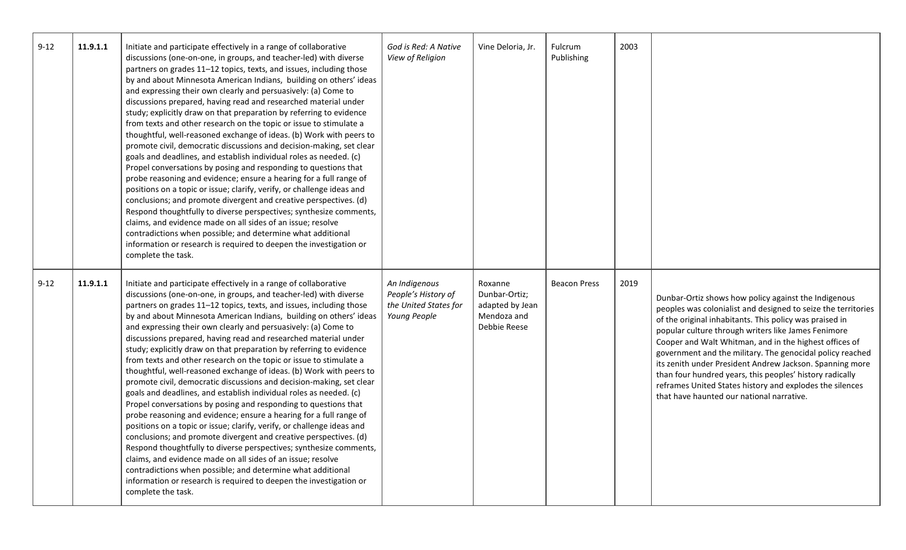| $9 - 12$ | 11.9.1.1 | Initiate and participate effectively in a range of collaborative<br>discussions (one-on-one, in groups, and teacher-led) with diverse<br>partners on grades 11-12 topics, texts, and issues, including those<br>by and about Minnesota American Indians, building on others' ideas<br>and expressing their own clearly and persuasively: (a) Come to<br>discussions prepared, having read and researched material under<br>study; explicitly draw on that preparation by referring to evidence<br>from texts and other research on the topic or issue to stimulate a<br>thoughtful, well-reasoned exchange of ideas. (b) Work with peers to<br>promote civil, democratic discussions and decision-making, set clear<br>goals and deadlines, and establish individual roles as needed. (c)<br>Propel conversations by posing and responding to questions that<br>probe reasoning and evidence; ensure a hearing for a full range of<br>positions on a topic or issue; clarify, verify, or challenge ideas and<br>conclusions; and promote divergent and creative perspectives. (d)<br>Respond thoughtfully to diverse perspectives; synthesize comments,<br>claims, and evidence made on all sides of an issue; resolve<br>contradictions when possible; and determine what additional<br>information or research is required to deepen the investigation or<br>complete the task. | God is Red: A Native<br>View of Religion                                      | Vine Deloria, Jr.                                                          | Fulcrum<br>Publishing | 2003 |                                                                                                                                                                                                                                                                                                                                                                                                                                                                                                                                                                                                 |
|----------|----------|-----------------------------------------------------------------------------------------------------------------------------------------------------------------------------------------------------------------------------------------------------------------------------------------------------------------------------------------------------------------------------------------------------------------------------------------------------------------------------------------------------------------------------------------------------------------------------------------------------------------------------------------------------------------------------------------------------------------------------------------------------------------------------------------------------------------------------------------------------------------------------------------------------------------------------------------------------------------------------------------------------------------------------------------------------------------------------------------------------------------------------------------------------------------------------------------------------------------------------------------------------------------------------------------------------------------------------------------------------------------------------------|-------------------------------------------------------------------------------|----------------------------------------------------------------------------|-----------------------|------|-------------------------------------------------------------------------------------------------------------------------------------------------------------------------------------------------------------------------------------------------------------------------------------------------------------------------------------------------------------------------------------------------------------------------------------------------------------------------------------------------------------------------------------------------------------------------------------------------|
| $9 - 12$ | 11.9.1.1 | Initiate and participate effectively in a range of collaborative<br>discussions (one-on-one, in groups, and teacher-led) with diverse<br>partners on grades 11-12 topics, texts, and issues, including those<br>by and about Minnesota American Indians, building on others' ideas<br>and expressing their own clearly and persuasively: (a) Come to<br>discussions prepared, having read and researched material under<br>study; explicitly draw on that preparation by referring to evidence<br>from texts and other research on the topic or issue to stimulate a<br>thoughtful, well-reasoned exchange of ideas. (b) Work with peers to<br>promote civil, democratic discussions and decision-making, set clear<br>goals and deadlines, and establish individual roles as needed. (c)<br>Propel conversations by posing and responding to questions that<br>probe reasoning and evidence; ensure a hearing for a full range of<br>positions on a topic or issue; clarify, verify, or challenge ideas and<br>conclusions; and promote divergent and creative perspectives. (d)<br>Respond thoughtfully to diverse perspectives; synthesize comments,<br>claims, and evidence made on all sides of an issue; resolve<br>contradictions when possible; and determine what additional<br>information or research is required to deepen the investigation or<br>complete the task. | An Indigenous<br>People's History of<br>the United States for<br>Young People | Roxanne<br>Dunbar-Ortiz;<br>adapted by Jean<br>Mendoza and<br>Debbie Reese | <b>Beacon Press</b>   | 2019 | Dunbar-Ortiz shows how policy against the Indigenous<br>peoples was colonialist and designed to seize the territories<br>of the original inhabitants. This policy was praised in<br>popular culture through writers like James Fenimore<br>Cooper and Walt Whitman, and in the highest offices of<br>government and the military. The genocidal policy reached<br>its zenith under President Andrew Jackson. Spanning more<br>than four hundred years, this peoples' history radically<br>reframes United States history and explodes the silences<br>that have haunted our national narrative. |